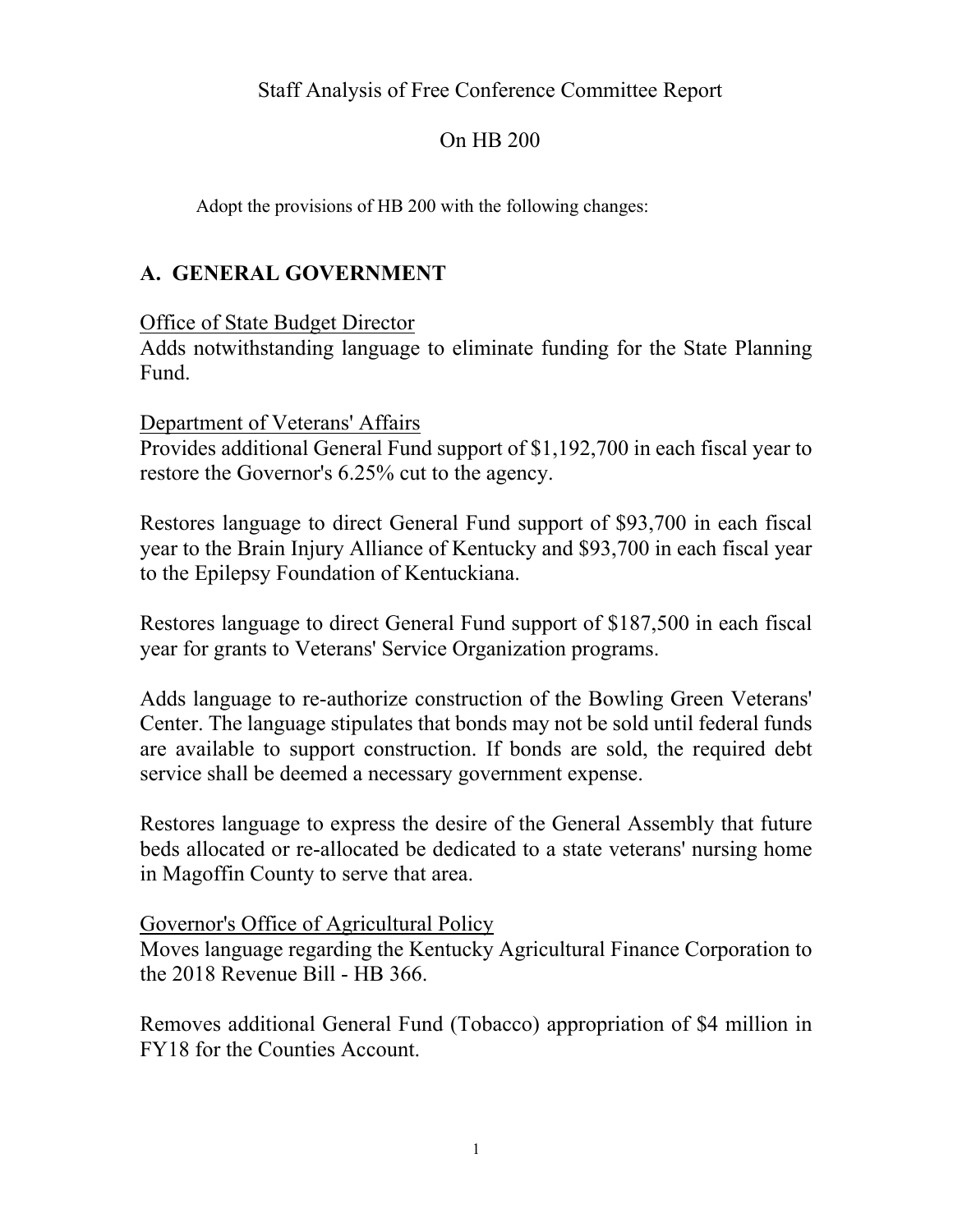## Staff Analysis of Free Conference Committee Report

#### On HB 200

Adopt the provisions of HB 200 with the following changes:

### **A. GENERAL GOVERNMENT**

#### Office of State Budget Director

Adds notwithstanding language to eliminate funding for the State Planning Fund.

#### Department of Veterans' Affairs

Provides additional General Fund support of \$1,192,700 in each fiscal year to restore the Governor's 6.25% cut to the agency.

Restores language to direct General Fund support of \$93,700 in each fiscal year to the Brain Injury Alliance of Kentucky and \$93,700 in each fiscal year to the Epilepsy Foundation of Kentuckiana.

Restores language to direct General Fund support of \$187,500 in each fiscal year for grants to Veterans' Service Organization programs.

Adds language to re-authorize construction of the Bowling Green Veterans' Center. The language stipulates that bonds may not be sold until federal funds are available to support construction. If bonds are sold, the required debt service shall be deemed a necessary government expense.

Restores language to express the desire of the General Assembly that future beds allocated or re-allocated be dedicated to a state veterans' nursing home in Magoffin County to serve that area.

#### Governor's Office of Agricultural Policy

Moves language regarding the Kentucky Agricultural Finance Corporation to the 2018 Revenue Bill - HB 366.

Removes additional General Fund (Tobacco) appropriation of \$4 million in FY18 for the Counties Account.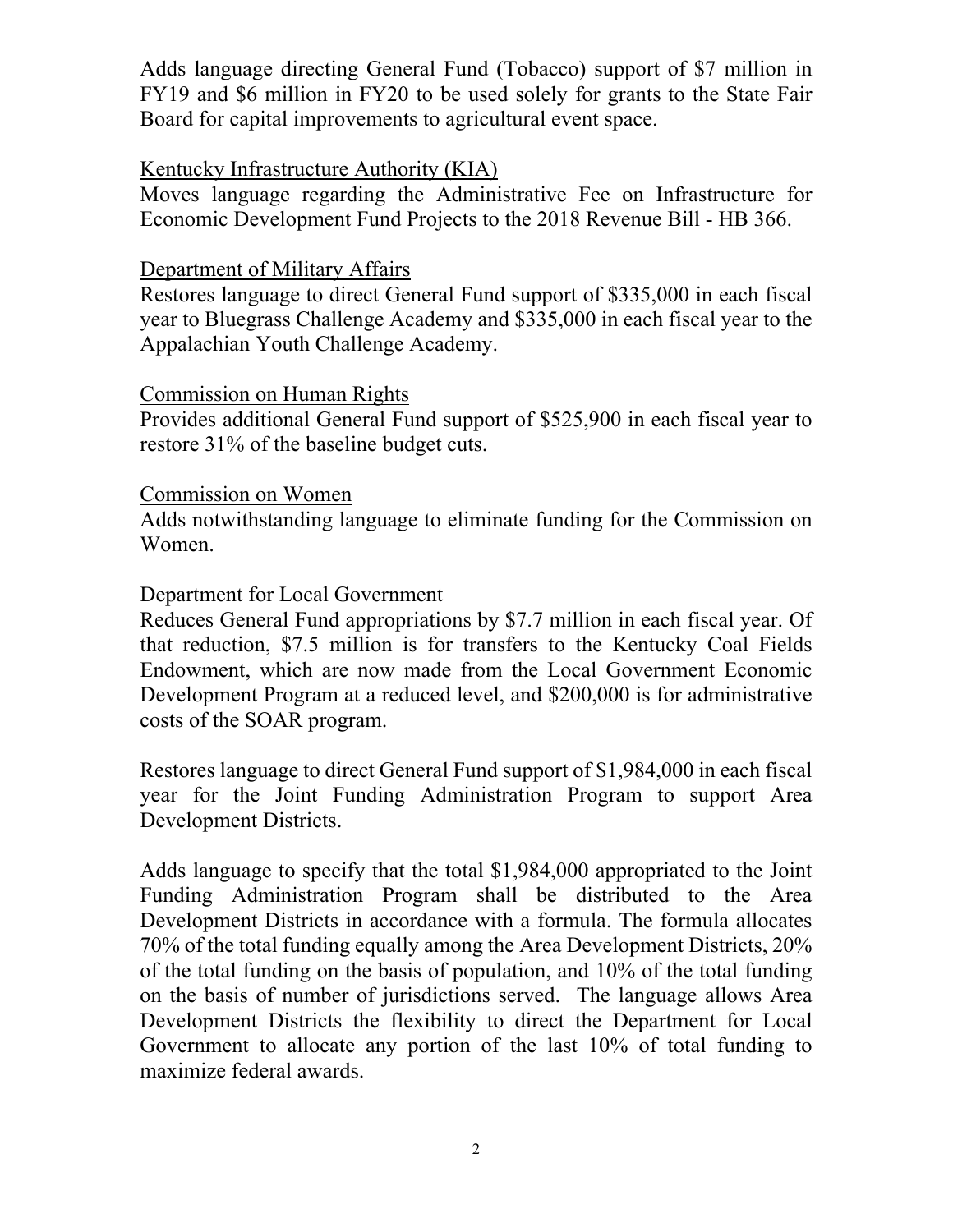Adds language directing General Fund (Tobacco) support of \$7 million in FY19 and \$6 million in FY20 to be used solely for grants to the State Fair Board for capital improvements to agricultural event space.

#### Kentucky Infrastructure Authority (KIA)

Moves language regarding the Administrative Fee on Infrastructure for Economic Development Fund Projects to the 2018 Revenue Bill - HB 366.

#### Department of Military Affairs

Restores language to direct General Fund support of \$335,000 in each fiscal year to Bluegrass Challenge Academy and \$335,000 in each fiscal year to the Appalachian Youth Challenge Academy.

#### Commission on Human Rights

Provides additional General Fund support of \$525,900 in each fiscal year to restore 31% of the baseline budget cuts.

#### Commission on Women

Adds notwithstanding language to eliminate funding for the Commission on Women.

#### Department for Local Government

Reduces General Fund appropriations by \$7.7 million in each fiscal year. Of that reduction, \$7.5 million is for transfers to the Kentucky Coal Fields Endowment, which are now made from the Local Government Economic Development Program at a reduced level, and \$200,000 is for administrative costs of the SOAR program.

Restores language to direct General Fund support of \$1,984,000 in each fiscal year for the Joint Funding Administration Program to support Area Development Districts.

Adds language to specify that the total \$1,984,000 appropriated to the Joint Funding Administration Program shall be distributed to the Area Development Districts in accordance with a formula. The formula allocates 70% of the total funding equally among the Area Development Districts, 20% of the total funding on the basis of population, and 10% of the total funding on the basis of number of jurisdictions served. The language allows Area Development Districts the flexibility to direct the Department for Local Government to allocate any portion of the last 10% of total funding to maximize federal awards.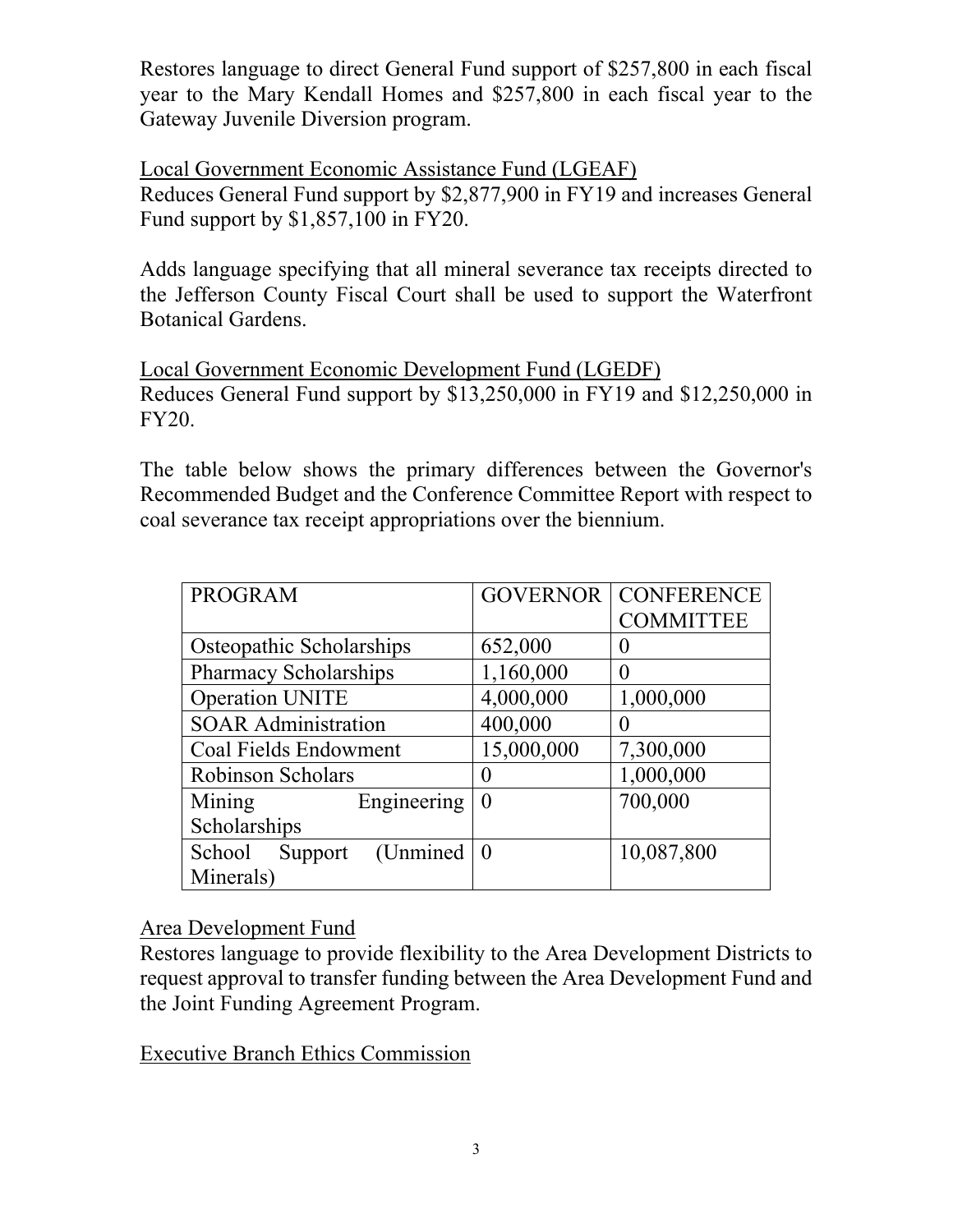Restores language to direct General Fund support of \$257,800 in each fiscal year to the Mary Kendall Homes and \$257,800 in each fiscal year to the Gateway Juvenile Diversion program.

Local Government Economic Assistance Fund (LGEAF) Reduces General Fund support by \$2,877,900 in FY19 and increases General Fund support by \$1,857,100 in FY20.

Adds language specifying that all mineral severance tax receipts directed to the Jefferson County Fiscal Court shall be used to support the Waterfront Botanical Gardens.

Local Government Economic Development Fund (LGEDF) Reduces General Fund support by \$13,250,000 in FY19 and \$12,250,000 in FY20.

The table below shows the primary differences between the Governor's Recommended Budget and the Conference Committee Report with respect to coal severance tax receipt appropriations over the biennium.

| <b>PROGRAM</b>                 | <b>GOVERNOR</b> | <b>CONFERENCE</b> |
|--------------------------------|-----------------|-------------------|
|                                |                 | <b>COMMITTEE</b>  |
| Osteopathic Scholarships       | 652,000         | 0                 |
| <b>Pharmacy Scholarships</b>   | 1,160,000       | 0                 |
| <b>Operation UNITE</b>         | 4,000,000       | 1,000,000         |
| <b>SOAR Administration</b>     | 400,000         |                   |
| Coal Fields Endowment          | 15,000,000      | 7,300,000         |
| <b>Robinson Scholars</b>       |                 | 1,000,000         |
| Engineering<br>Mining          | $\theta$        | 700,000           |
| Scholarships                   |                 |                   |
| (Unmined)<br>School<br>Support | $\theta$        | 10,087,800        |
| Minerals)                      |                 |                   |

Area Development Fund

Restores language to provide flexibility to the Area Development Districts to request approval to transfer funding between the Area Development Fund and the Joint Funding Agreement Program.

Executive Branch Ethics Commission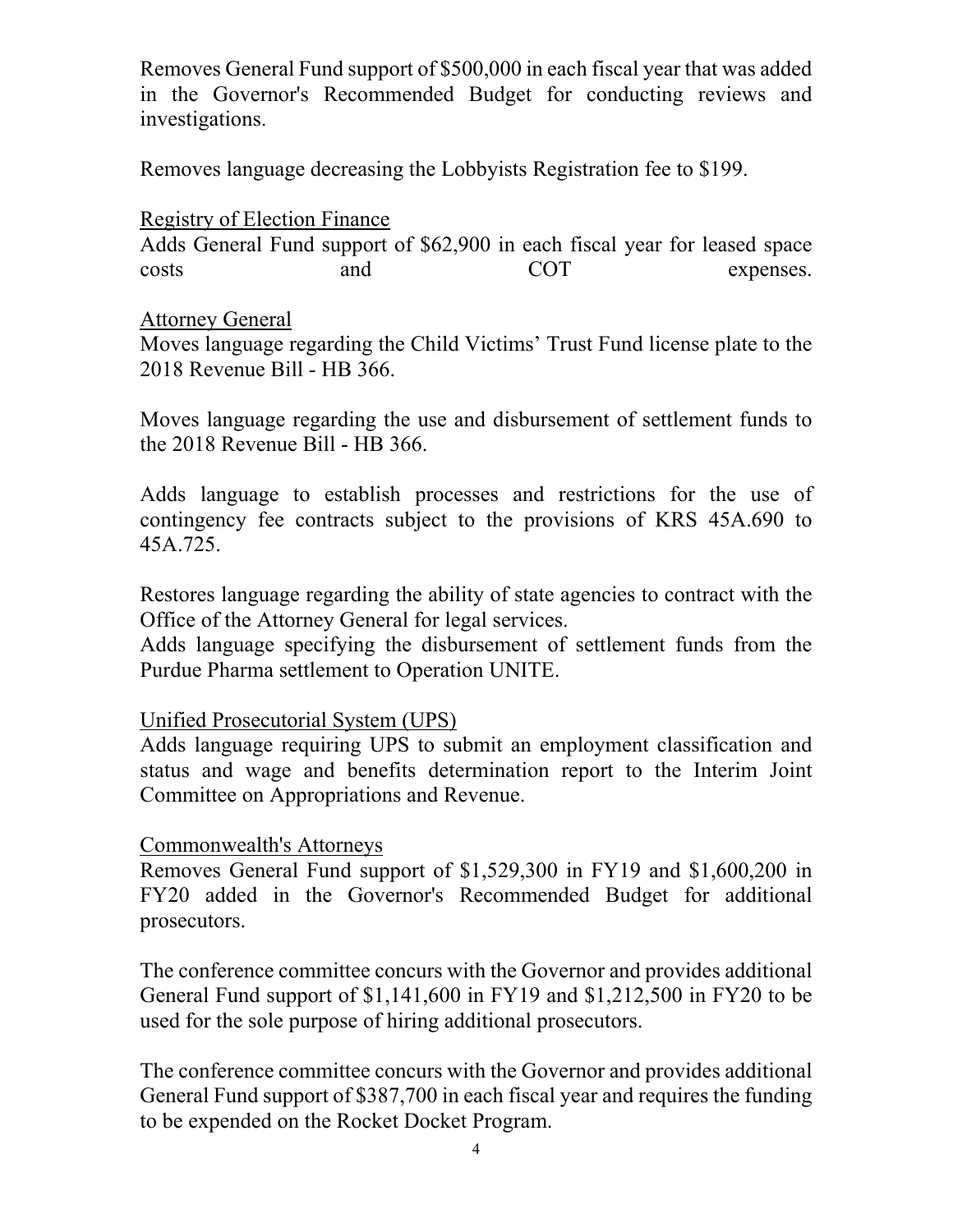Removes General Fund support of \$500,000 in each fiscal year that was added in the Governor's Recommended Budget for conducting reviews and investigations.

Removes language decreasing the Lobbyists Registration fee to \$199.

## Registry of Election Finance

Adds General Fund support of \$62,900 in each fiscal year for leased space costs and COT expenses.

### Attorney General

Moves language regarding the Child Victims' Trust Fund license plate to the 2018 Revenue Bill - HB 366.

Moves language regarding the use and disbursement of settlement funds to the 2018 Revenue Bill - HB 366.

Adds language to establish processes and restrictions for the use of contingency fee contracts subject to the provisions of KRS 45A.690 to 45A.725.

Restores language regarding the ability of state agencies to contract with the Office of the Attorney General for legal services.

Adds language specifying the disbursement of settlement funds from the Purdue Pharma settlement to Operation UNITE.

### Unified Prosecutorial System (UPS)

Adds language requiring UPS to submit an employment classification and status and wage and benefits determination report to the Interim Joint Committee on Appropriations and Revenue.

### Commonwealth's Attorneys

Removes General Fund support of \$1,529,300 in FY19 and \$1,600,200 in FY20 added in the Governor's Recommended Budget for additional prosecutors.

The conference committee concurs with the Governor and provides additional General Fund support of \$1,141,600 in FY19 and \$1,212,500 in FY20 to be used for the sole purpose of hiring additional prosecutors.

The conference committee concurs with the Governor and provides additional General Fund support of \$387,700 in each fiscal year and requires the funding to be expended on the Rocket Docket Program.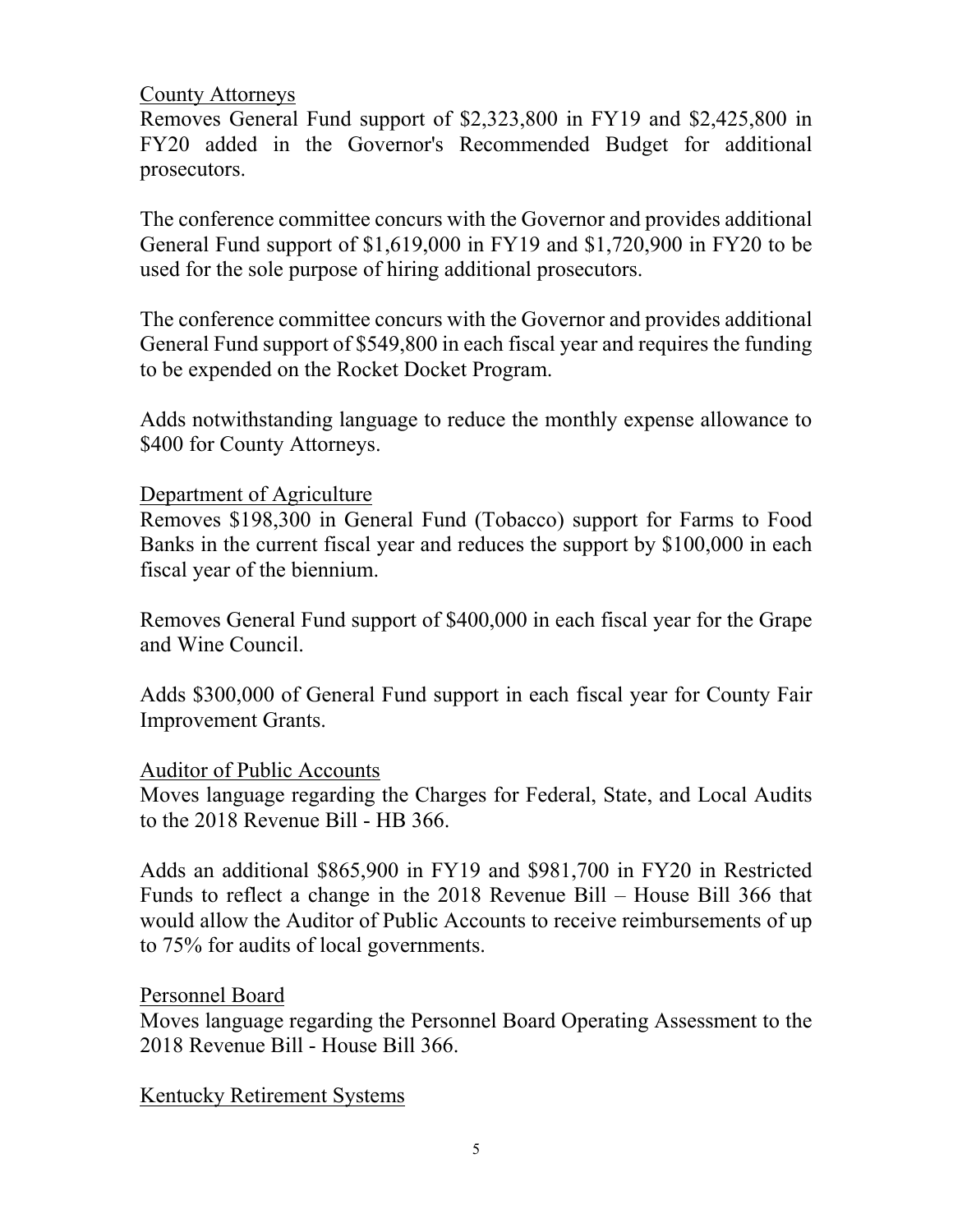#### County Attorneys

Removes General Fund support of \$2,323,800 in FY19 and \$2,425,800 in FY20 added in the Governor's Recommended Budget for additional prosecutors.

The conference committee concurs with the Governor and provides additional General Fund support of \$1,619,000 in FY19 and \$1,720,900 in FY20 to be used for the sole purpose of hiring additional prosecutors.

The conference committee concurs with the Governor and provides additional General Fund support of \$549,800 in each fiscal year and requires the funding to be expended on the Rocket Docket Program.

Adds notwithstanding language to reduce the monthly expense allowance to \$400 for County Attorneys.

#### Department of Agriculture

Removes \$198,300 in General Fund (Tobacco) support for Farms to Food Banks in the current fiscal year and reduces the support by \$100,000 in each fiscal year of the biennium.

Removes General Fund support of \$400,000 in each fiscal year for the Grape and Wine Council.

Adds \$300,000 of General Fund support in each fiscal year for County Fair Improvement Grants.

#### Auditor of Public Accounts

Moves language regarding the Charges for Federal, State, and Local Audits to the 2018 Revenue Bill - HB 366.

Adds an additional \$865,900 in FY19 and \$981,700 in FY20 in Restricted Funds to reflect a change in the 2018 Revenue Bill – House Bill 366 that would allow the Auditor of Public Accounts to receive reimbursements of up to 75% for audits of local governments.

### Personnel Board

Moves language regarding the Personnel Board Operating Assessment to the 2018 Revenue Bill - House Bill 366.

Kentucky Retirement Systems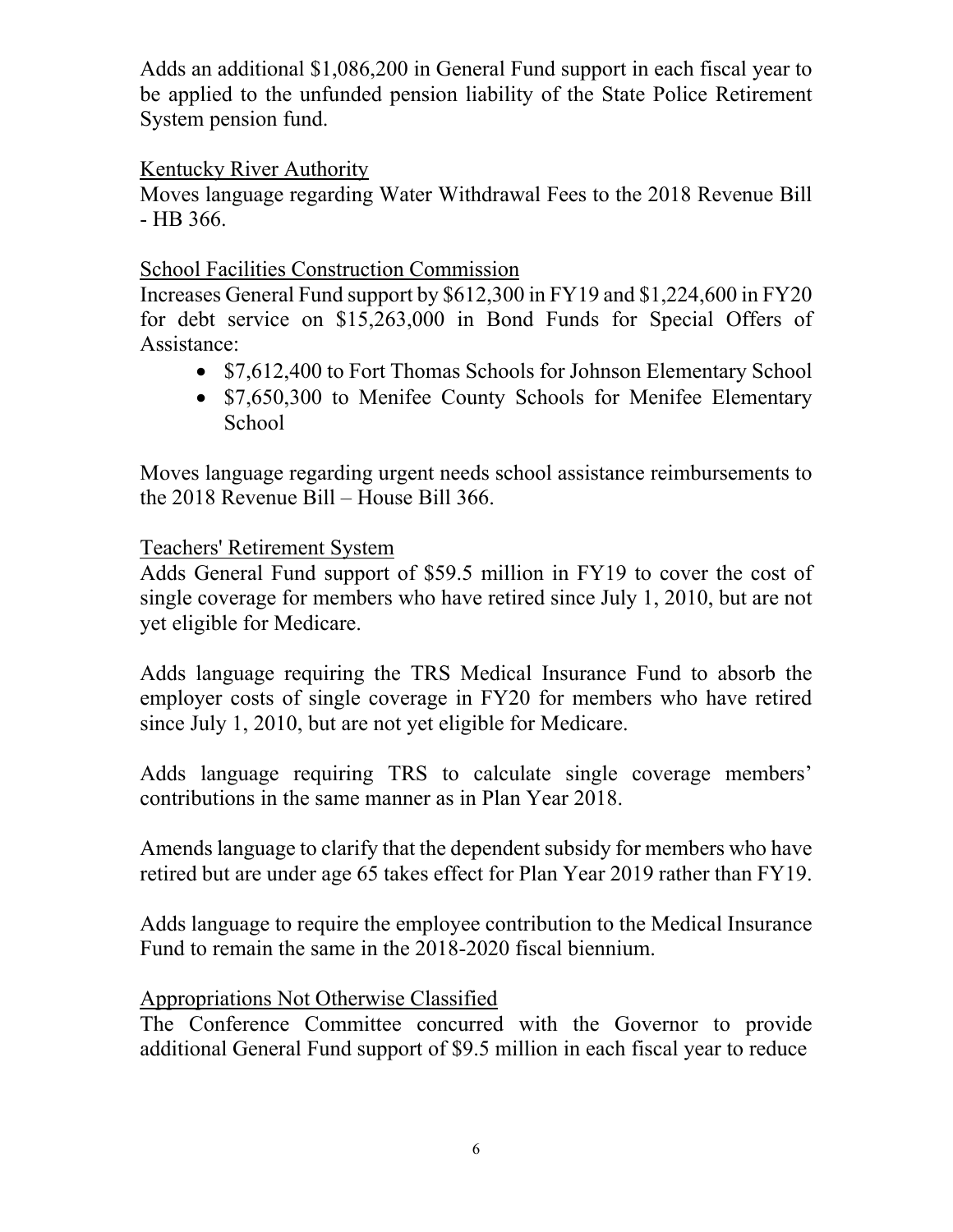Adds an additional \$1,086,200 in General Fund support in each fiscal year to be applied to the unfunded pension liability of the State Police Retirement System pension fund.

## Kentucky River Authority

Moves language regarding Water Withdrawal Fees to the 2018 Revenue Bill - HB 366.

## School Facilities Construction Commission

Increases General Fund support by \$612,300 in FY19 and \$1,224,600 in FY20 for debt service on \$15,263,000 in Bond Funds for Special Offers of Assistance:

- \$7,612,400 to Fort Thomas Schools for Johnson Elementary School
- \$7,650,300 to Menifee County Schools for Menifee Elementary **School**

Moves language regarding urgent needs school assistance reimbursements to the 2018 Revenue Bill – House Bill 366.

### Teachers' Retirement System

Adds General Fund support of \$59.5 million in FY19 to cover the cost of single coverage for members who have retired since July 1, 2010, but are not yet eligible for Medicare.

Adds language requiring the TRS Medical Insurance Fund to absorb the employer costs of single coverage in FY20 for members who have retired since July 1, 2010, but are not yet eligible for Medicare.

Adds language requiring TRS to calculate single coverage members' contributions in the same manner as in Plan Year 2018.

Amends language to clarify that the dependent subsidy for members who have retired but are under age 65 takes effect for Plan Year 2019 rather than FY19.

Adds language to require the employee contribution to the Medical Insurance Fund to remain the same in the 2018-2020 fiscal biennium.

## Appropriations Not Otherwise Classified

The Conference Committee concurred with the Governor to provide additional General Fund support of \$9.5 million in each fiscal year to reduce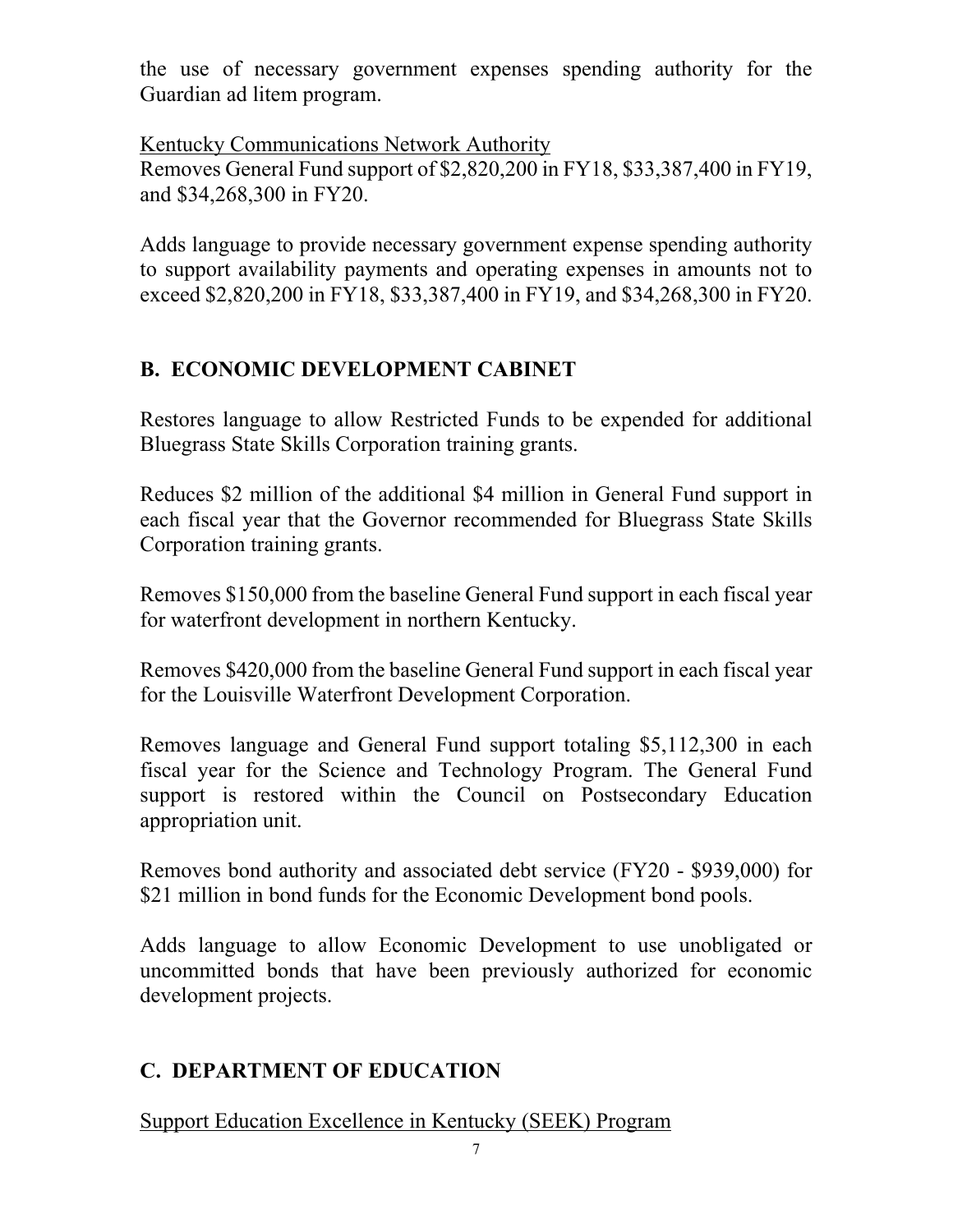the use of necessary government expenses spending authority for the Guardian ad litem program.

Kentucky Communications Network Authority Removes General Fund support of \$2,820,200 in FY18, \$33,387,400 in FY19, and \$34,268,300 in FY20.

Adds language to provide necessary government expense spending authority to support availability payments and operating expenses in amounts not to exceed \$2,820,200 in FY18, \$33,387,400 in FY19, and \$34,268,300 in FY20.

# **B. ECONOMIC DEVELOPMENT CABINET**

Restores language to allow Restricted Funds to be expended for additional Bluegrass State Skills Corporation training grants.

Reduces \$2 million of the additional \$4 million in General Fund support in each fiscal year that the Governor recommended for Bluegrass State Skills Corporation training grants.

Removes \$150,000 from the baseline General Fund support in each fiscal year for waterfront development in northern Kentucky.

Removes \$420,000 from the baseline General Fund support in each fiscal year for the Louisville Waterfront Development Corporation.

Removes language and General Fund support totaling \$5,112,300 in each fiscal year for the Science and Technology Program. The General Fund support is restored within the Council on Postsecondary Education appropriation unit.

Removes bond authority and associated debt service (FY20 - \$939,000) for \$21 million in bond funds for the Economic Development bond pools.

Adds language to allow Economic Development to use unobligated or uncommitted bonds that have been previously authorized for economic development projects.

# **C. DEPARTMENT OF EDUCATION**

Support Education Excellence in Kentucky (SEEK) Program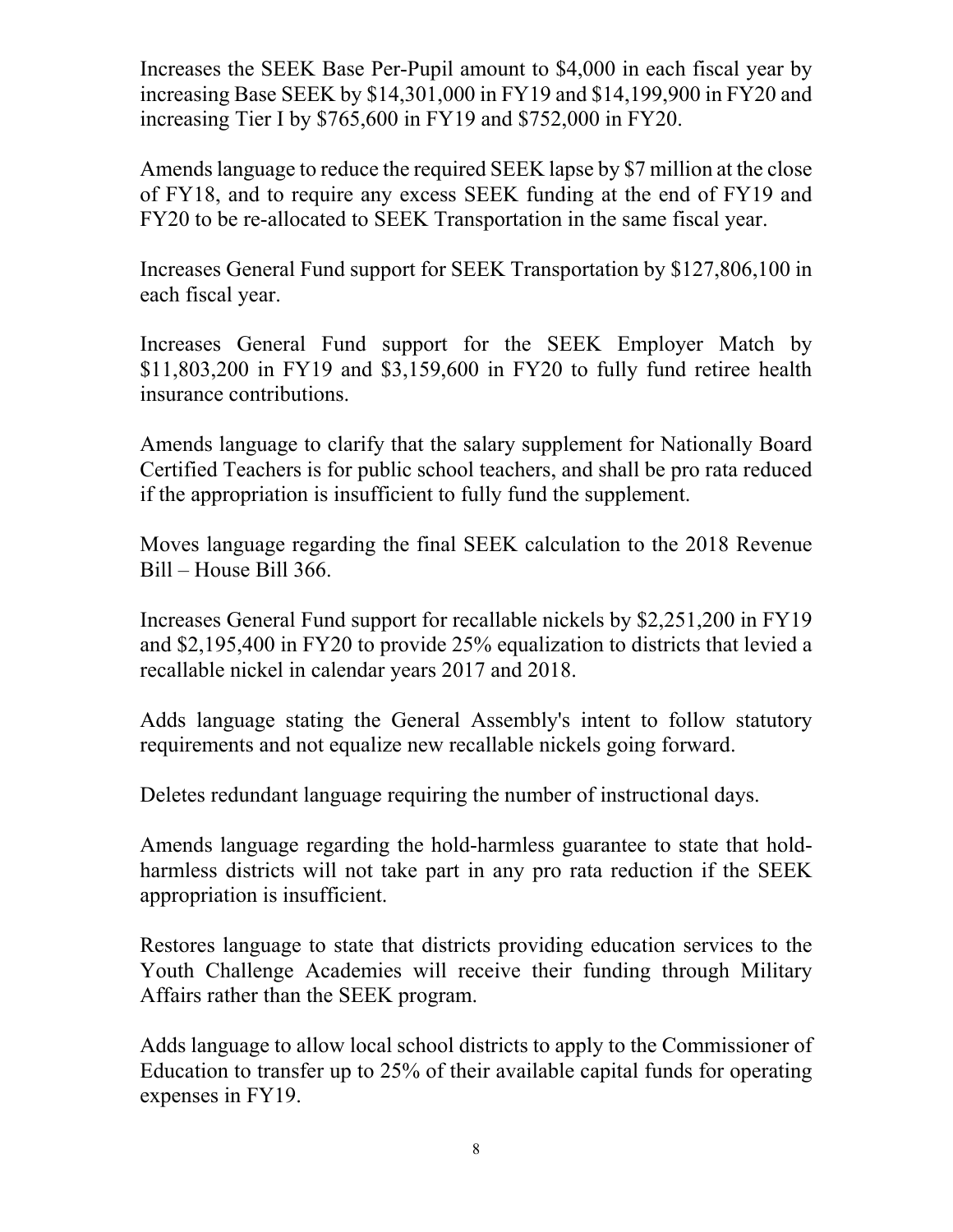Increases the SEEK Base Per-Pupil amount to \$4,000 in each fiscal year by increasing Base SEEK by \$14,301,000 in FY19 and \$14,199,900 in FY20 and increasing Tier I by \$765,600 in FY19 and \$752,000 in FY20.

Amends language to reduce the required SEEK lapse by \$7 million at the close of FY18, and to require any excess SEEK funding at the end of FY19 and FY20 to be re-allocated to SEEK Transportation in the same fiscal year.

Increases General Fund support for SEEK Transportation by \$127,806,100 in each fiscal year.

Increases General Fund support for the SEEK Employer Match by \$11,803,200 in FY19 and \$3,159,600 in FY20 to fully fund retiree health insurance contributions.

Amends language to clarify that the salary supplement for Nationally Board Certified Teachers is for public school teachers, and shall be pro rata reduced if the appropriation is insufficient to fully fund the supplement.

Moves language regarding the final SEEK calculation to the 2018 Revenue Bill – House Bill 366.

Increases General Fund support for recallable nickels by \$2,251,200 in FY19 and \$2,195,400 in FY20 to provide 25% equalization to districts that levied a recallable nickel in calendar years 2017 and 2018.

Adds language stating the General Assembly's intent to follow statutory requirements and not equalize new recallable nickels going forward.

Deletes redundant language requiring the number of instructional days.

Amends language regarding the hold-harmless guarantee to state that holdharmless districts will not take part in any pro rata reduction if the SEEK appropriation is insufficient.

Restores language to state that districts providing education services to the Youth Challenge Academies will receive their funding through Military Affairs rather than the SEEK program.

Adds language to allow local school districts to apply to the Commissioner of Education to transfer up to 25% of their available capital funds for operating expenses in FY19.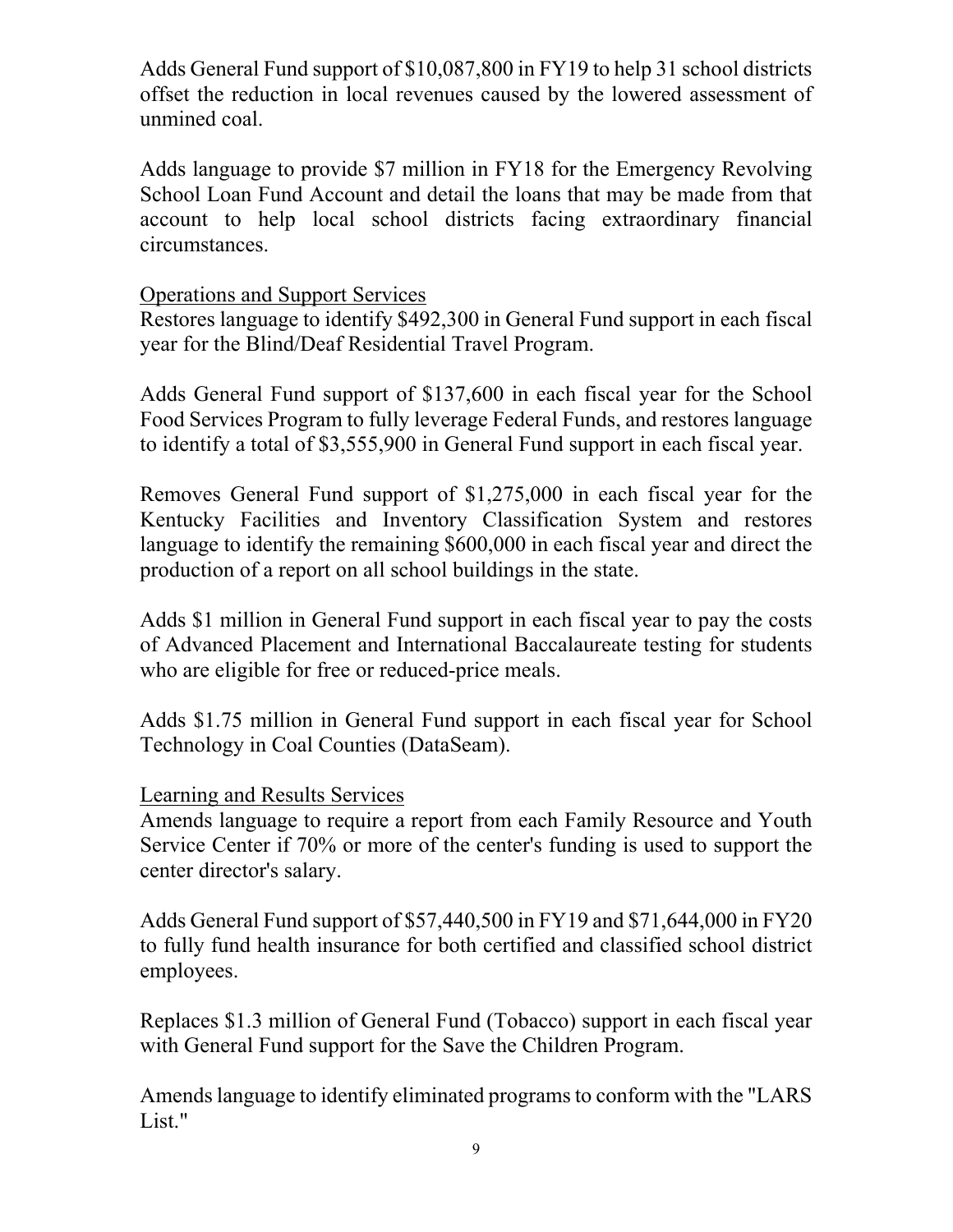Adds General Fund support of \$10,087,800 in FY19 to help 31 school districts offset the reduction in local revenues caused by the lowered assessment of unmined coal.

Adds language to provide \$7 million in FY18 for the Emergency Revolving School Loan Fund Account and detail the loans that may be made from that account to help local school districts facing extraordinary financial circumstances.

## Operations and Support Services

Restores language to identify \$492,300 in General Fund support in each fiscal year for the Blind/Deaf Residential Travel Program.

Adds General Fund support of \$137,600 in each fiscal year for the School Food Services Program to fully leverage Federal Funds, and restores language to identify a total of \$3,555,900 in General Fund support in each fiscal year.

Removes General Fund support of \$1,275,000 in each fiscal year for the Kentucky Facilities and Inventory Classification System and restores language to identify the remaining \$600,000 in each fiscal year and direct the production of a report on all school buildings in the state.

Adds \$1 million in General Fund support in each fiscal year to pay the costs of Advanced Placement and International Baccalaureate testing for students who are eligible for free or reduced-price meals.

Adds \$1.75 million in General Fund support in each fiscal year for School Technology in Coal Counties (DataSeam).

### Learning and Results Services

Amends language to require a report from each Family Resource and Youth Service Center if 70% or more of the center's funding is used to support the center director's salary.

Adds General Fund support of \$57,440,500 in FY19 and \$71,644,000 in FY20 to fully fund health insurance for both certified and classified school district employees.

Replaces \$1.3 million of General Fund (Tobacco) support in each fiscal year with General Fund support for the Save the Children Program.

Amends language to identify eliminated programs to conform with the "LARS List."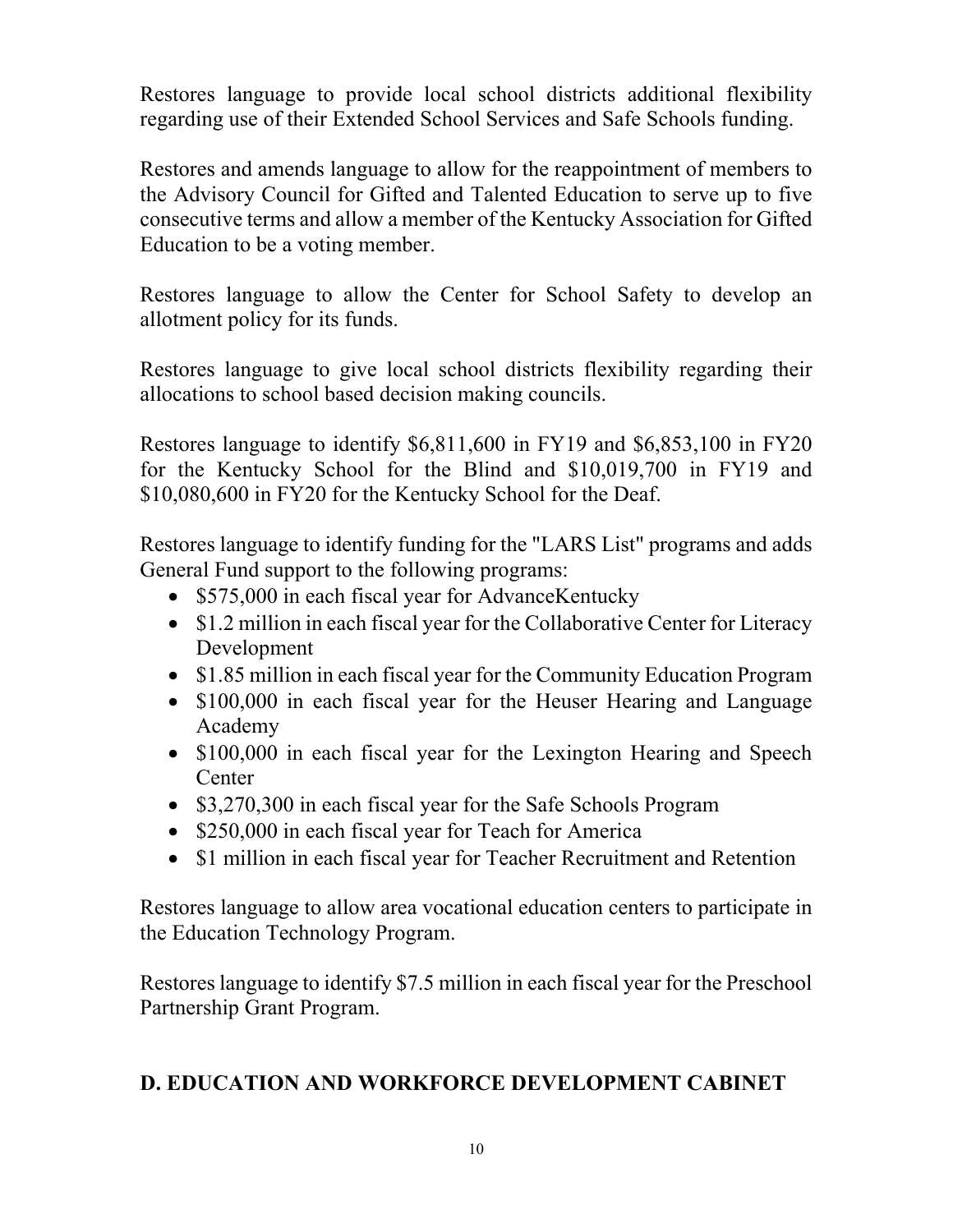Restores language to provide local school districts additional flexibility regarding use of their Extended School Services and Safe Schools funding.

Restores and amends language to allow for the reappointment of members to the Advisory Council for Gifted and Talented Education to serve up to five consecutive terms and allow a member of the Kentucky Association for Gifted Education to be a voting member.

Restores language to allow the Center for School Safety to develop an allotment policy for its funds.

Restores language to give local school districts flexibility regarding their allocations to school based decision making councils.

Restores language to identify \$6,811,600 in FY19 and \$6,853,100 in FY20 for the Kentucky School for the Blind and \$10,019,700 in FY19 and \$10,080,600 in FY20 for the Kentucky School for the Deaf.

Restores language to identify funding for the "LARS List" programs and adds General Fund support to the following programs:

- \$575,000 in each fiscal year for AdvanceKentucky
- \$1.2 million in each fiscal year for the Collaborative Center for Literacy Development
- \$1.85 million in each fiscal year for the Community Education Program
- \$100,000 in each fiscal year for the Heuser Hearing and Language Academy
- \$100,000 in each fiscal year for the Lexington Hearing and Speech Center
- \$3,270,300 in each fiscal year for the Safe Schools Program
- \$250,000 in each fiscal year for Teach for America
- \$1 million in each fiscal year for Teacher Recruitment and Retention

Restores language to allow area vocational education centers to participate in the Education Technology Program.

Restores language to identify \$7.5 million in each fiscal year for the Preschool Partnership Grant Program.

## **D. EDUCATION AND WORKFORCE DEVELOPMENT CABINET**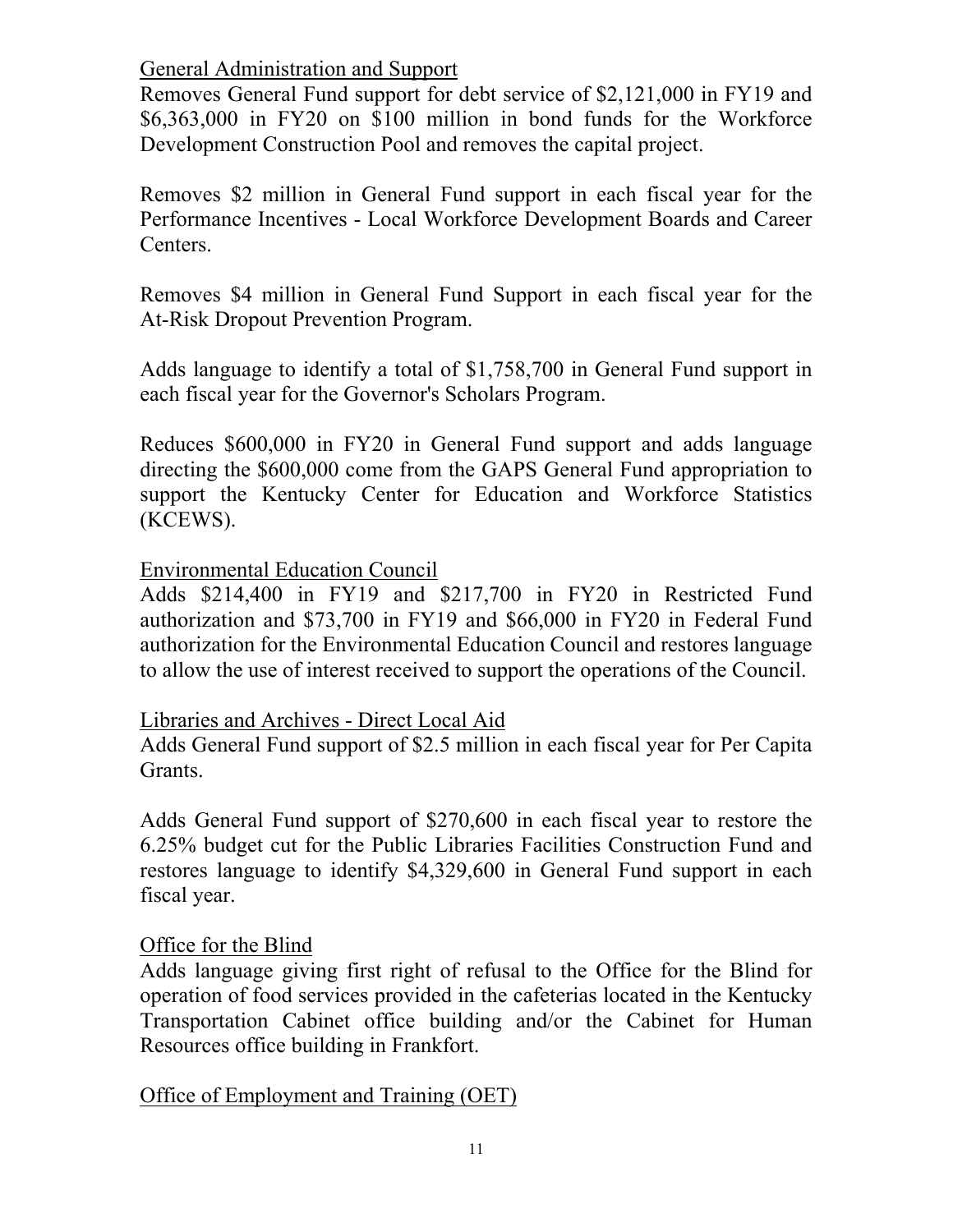### General Administration and Support

Removes General Fund support for debt service of \$2,121,000 in FY19 and \$6,363,000 in FY20 on \$100 million in bond funds for the Workforce Development Construction Pool and removes the capital project.

Removes \$2 million in General Fund support in each fiscal year for the Performance Incentives - Local Workforce Development Boards and Career Centers.

Removes \$4 million in General Fund Support in each fiscal year for the At-Risk Dropout Prevention Program.

Adds language to identify a total of \$1,758,700 in General Fund support in each fiscal year for the Governor's Scholars Program.

Reduces \$600,000 in FY20 in General Fund support and adds language directing the \$600,000 come from the GAPS General Fund appropriation to support the Kentucky Center for Education and Workforce Statistics (KCEWS).

Environmental Education Council

Adds \$214,400 in FY19 and \$217,700 in FY20 in Restricted Fund authorization and \$73,700 in FY19 and \$66,000 in FY20 in Federal Fund authorization for the Environmental Education Council and restores language to allow the use of interest received to support the operations of the Council.

### Libraries and Archives - Direct Local Aid

Adds General Fund support of \$2.5 million in each fiscal year for Per Capita Grants.

Adds General Fund support of \$270,600 in each fiscal year to restore the 6.25% budget cut for the Public Libraries Facilities Construction Fund and restores language to identify \$4,329,600 in General Fund support in each fiscal year.

## Office for the Blind

Adds language giving first right of refusal to the Office for the Blind for operation of food services provided in the cafeterias located in the Kentucky Transportation Cabinet office building and/or the Cabinet for Human Resources office building in Frankfort.

### Office of Employment and Training (OET)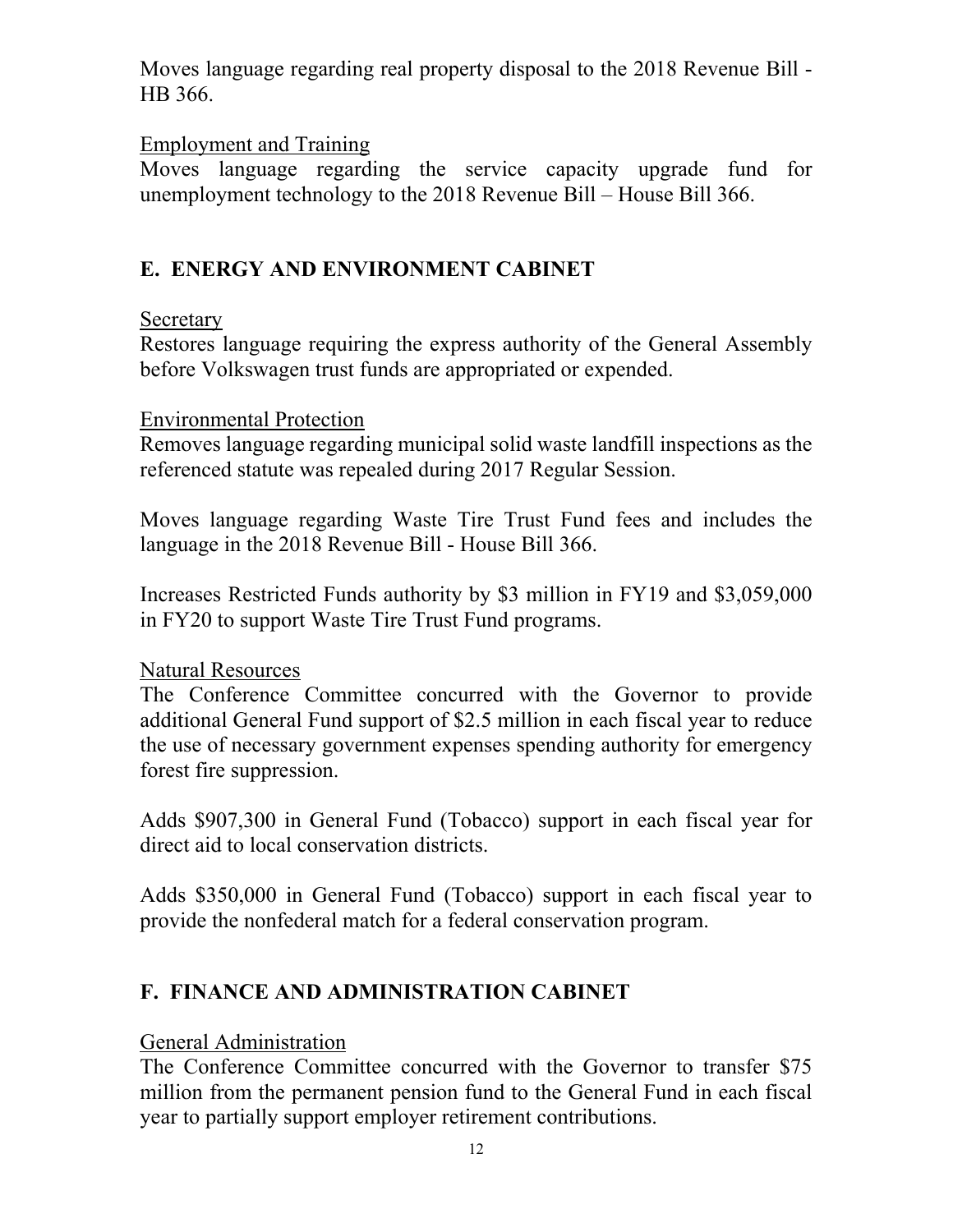Moves language regarding real property disposal to the 2018 Revenue Bill - HB 366.

## Employment and Training

Moves language regarding the service capacity upgrade fund for unemployment technology to the 2018 Revenue Bill – House Bill 366.

# **E. ENERGY AND ENVIRONMENT CABINET**

## Secretary

Restores language requiring the express authority of the General Assembly before Volkswagen trust funds are appropriated or expended.

### Environmental Protection

Removes language regarding municipal solid waste landfill inspections as the referenced statute was repealed during 2017 Regular Session.

Moves language regarding Waste Tire Trust Fund fees and includes the language in the 2018 Revenue Bill - House Bill 366.

Increases Restricted Funds authority by \$3 million in FY19 and \$3,059,000 in FY20 to support Waste Tire Trust Fund programs.

## Natural Resources

The Conference Committee concurred with the Governor to provide additional General Fund support of \$2.5 million in each fiscal year to reduce the use of necessary government expenses spending authority for emergency forest fire suppression.

Adds \$907,300 in General Fund (Tobacco) support in each fiscal year for direct aid to local conservation districts.

Adds \$350,000 in General Fund (Tobacco) support in each fiscal year to provide the nonfederal match for a federal conservation program.

# **F. FINANCE AND ADMINISTRATION CABINET**

## General Administration

The Conference Committee concurred with the Governor to transfer \$75 million from the permanent pension fund to the General Fund in each fiscal year to partially support employer retirement contributions.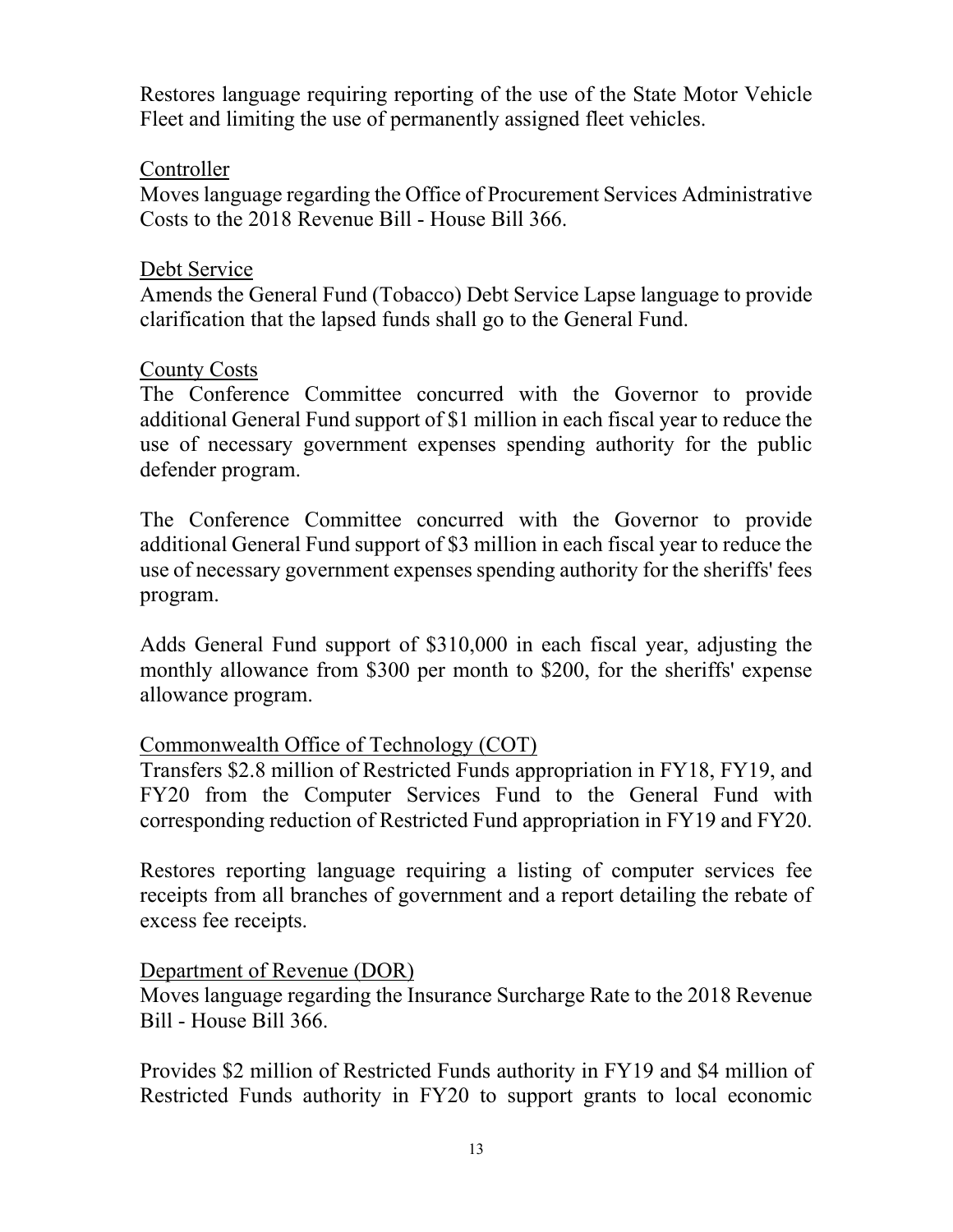Restores language requiring reporting of the use of the State Motor Vehicle Fleet and limiting the use of permanently assigned fleet vehicles.

## Controller

Moves language regarding the Office of Procurement Services Administrative Costs to the 2018 Revenue Bill - House Bill 366.

### Debt Service

Amends the General Fund (Tobacco) Debt Service Lapse language to provide clarification that the lapsed funds shall go to the General Fund.

### County Costs

The Conference Committee concurred with the Governor to provide additional General Fund support of \$1 million in each fiscal year to reduce the use of necessary government expenses spending authority for the public defender program.

The Conference Committee concurred with the Governor to provide additional General Fund support of \$3 million in each fiscal year to reduce the use of necessary government expenses spending authority for the sheriffs' fees program.

Adds General Fund support of \$310,000 in each fiscal year, adjusting the monthly allowance from \$300 per month to \$200, for the sheriffs' expense allowance program.

### Commonwealth Office of Technology (COT)

Transfers \$2.8 million of Restricted Funds appropriation in FY18, FY19, and FY20 from the Computer Services Fund to the General Fund with corresponding reduction of Restricted Fund appropriation in FY19 and FY20.

Restores reporting language requiring a listing of computer services fee receipts from all branches of government and a report detailing the rebate of excess fee receipts.

## Department of Revenue (DOR)

Moves language regarding the Insurance Surcharge Rate to the 2018 Revenue Bill - House Bill 366.

Provides \$2 million of Restricted Funds authority in FY19 and \$4 million of Restricted Funds authority in FY20 to support grants to local economic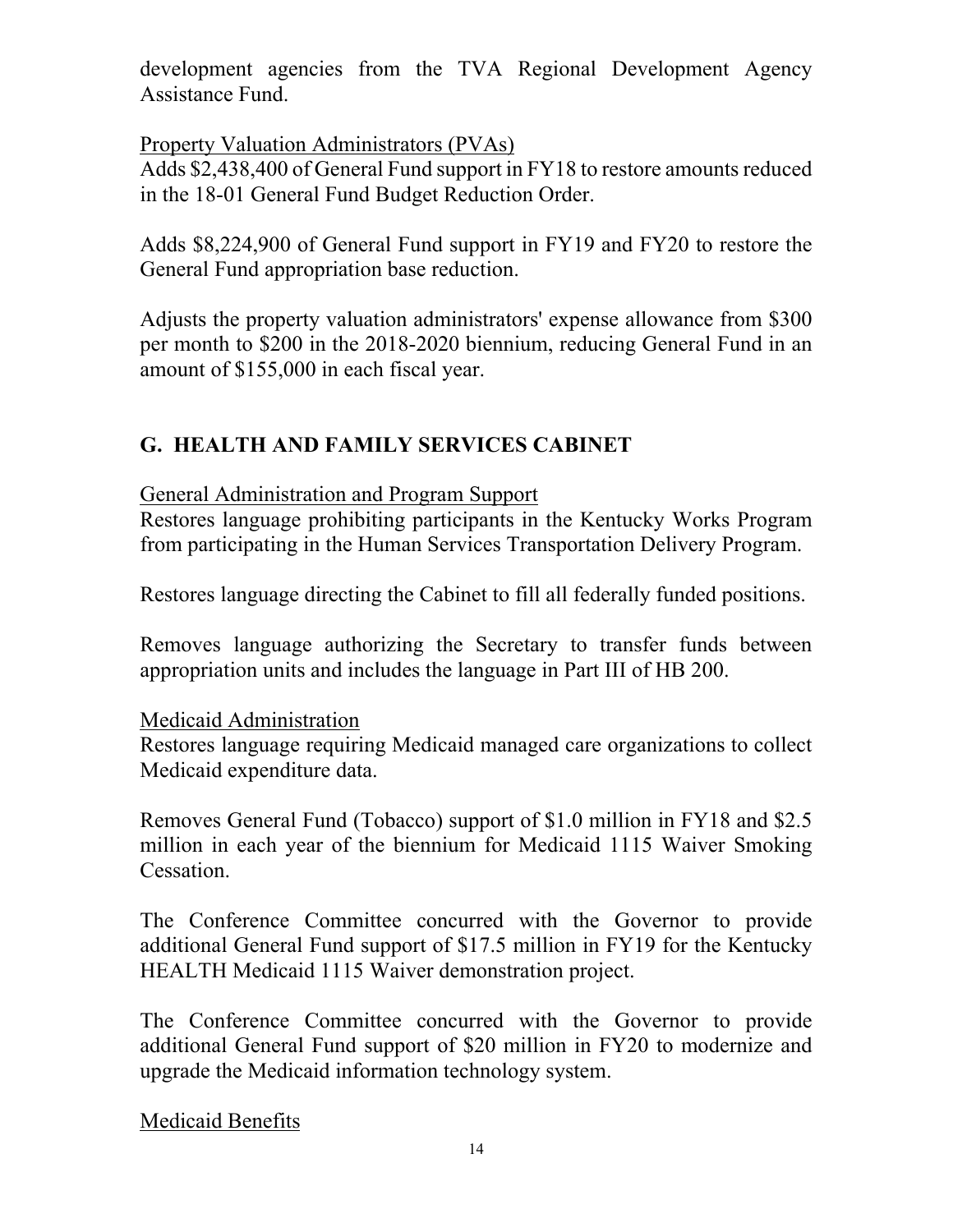development agencies from the TVA Regional Development Agency Assistance Fund.

Property Valuation Administrators (PVAs)

Adds \$2,438,400 of General Fund support in FY18 to restore amounts reduced in the 18-01 General Fund Budget Reduction Order.

Adds \$8,224,900 of General Fund support in FY19 and FY20 to restore the General Fund appropriation base reduction.

Adjusts the property valuation administrators' expense allowance from \$300 per month to \$200 in the 2018-2020 biennium, reducing General Fund in an amount of \$155,000 in each fiscal year.

# **G. HEALTH AND FAMILY SERVICES CABINET**

General Administration and Program Support

Restores language prohibiting participants in the Kentucky Works Program from participating in the Human Services Transportation Delivery Program.

Restores language directing the Cabinet to fill all federally funded positions.

Removes language authorizing the Secretary to transfer funds between appropriation units and includes the language in Part III of HB 200.

## Medicaid Administration

Restores language requiring Medicaid managed care organizations to collect Medicaid expenditure data.

Removes General Fund (Tobacco) support of \$1.0 million in FY18 and \$2.5 million in each year of the biennium for Medicaid 1115 Waiver Smoking Cessation.

The Conference Committee concurred with the Governor to provide additional General Fund support of \$17.5 million in FY19 for the Kentucky HEALTH Medicaid 1115 Waiver demonstration project.

The Conference Committee concurred with the Governor to provide additional General Fund support of \$20 million in FY20 to modernize and upgrade the Medicaid information technology system.

Medicaid Benefits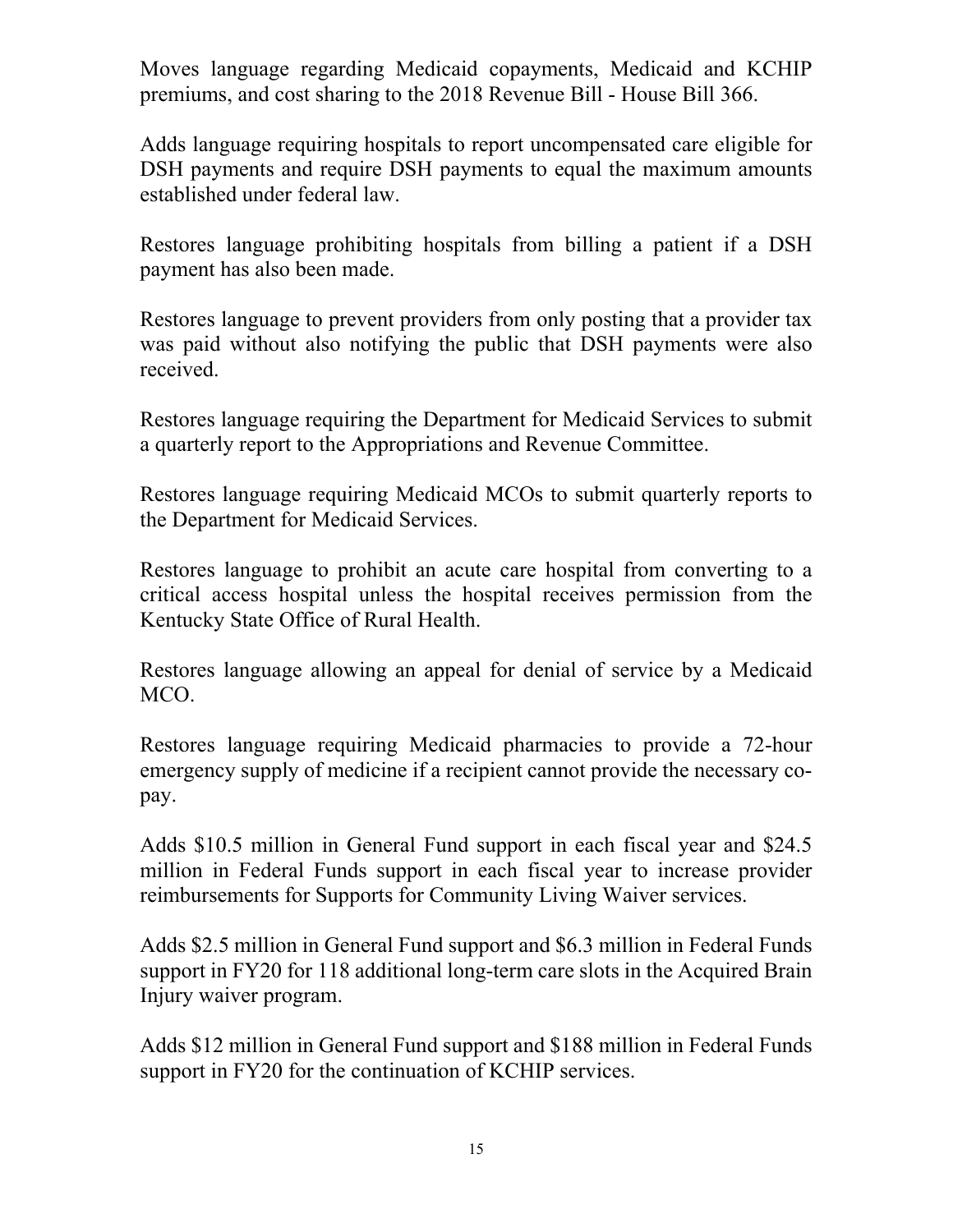Moves language regarding Medicaid copayments, Medicaid and KCHIP premiums, and cost sharing to the 2018 Revenue Bill - House Bill 366.

Adds language requiring hospitals to report uncompensated care eligible for DSH payments and require DSH payments to equal the maximum amounts established under federal law.

Restores language prohibiting hospitals from billing a patient if a DSH payment has also been made.

Restores language to prevent providers from only posting that a provider tax was paid without also notifying the public that DSH payments were also received.

Restores language requiring the Department for Medicaid Services to submit a quarterly report to the Appropriations and Revenue Committee.

Restores language requiring Medicaid MCOs to submit quarterly reports to the Department for Medicaid Services.

Restores language to prohibit an acute care hospital from converting to a critical access hospital unless the hospital receives permission from the Kentucky State Office of Rural Health.

Restores language allowing an appeal for denial of service by a Medicaid MCO.

Restores language requiring Medicaid pharmacies to provide a 72-hour emergency supply of medicine if a recipient cannot provide the necessary copay.

Adds \$10.5 million in General Fund support in each fiscal year and \$24.5 million in Federal Funds support in each fiscal year to increase provider reimbursements for Supports for Community Living Waiver services.

Adds \$2.5 million in General Fund support and \$6.3 million in Federal Funds support in FY20 for 118 additional long-term care slots in the Acquired Brain Injury waiver program.

Adds \$12 million in General Fund support and \$188 million in Federal Funds support in FY20 for the continuation of KCHIP services.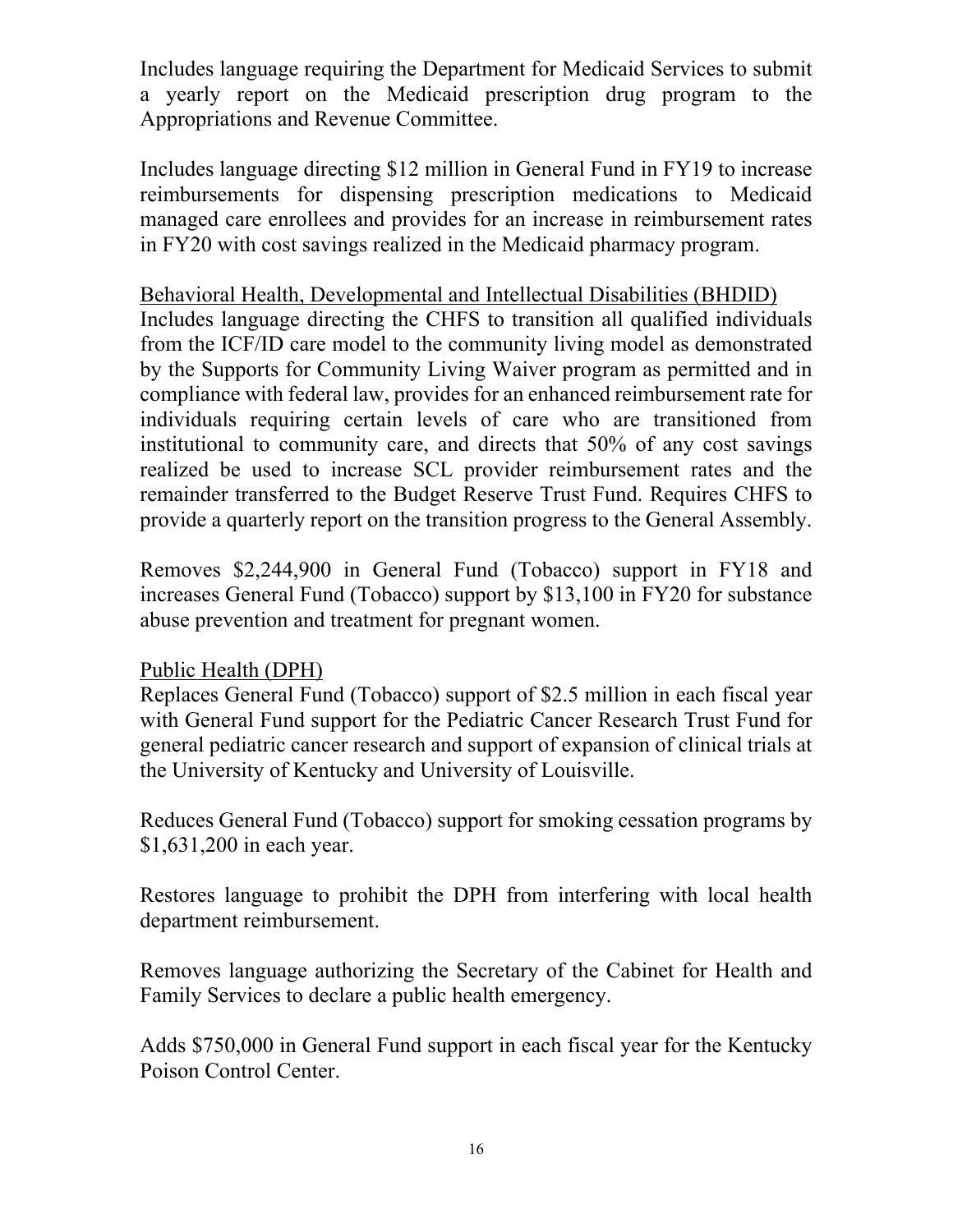Includes language requiring the Department for Medicaid Services to submit a yearly report on the Medicaid prescription drug program to the Appropriations and Revenue Committee.

Includes language directing \$12 million in General Fund in FY19 to increase reimbursements for dispensing prescription medications to Medicaid managed care enrollees and provides for an increase in reimbursement rates in FY20 with cost savings realized in the Medicaid pharmacy program.

## Behavioral Health, Developmental and Intellectual Disabilities (BHDID)

Includes language directing the CHFS to transition all qualified individuals from the ICF/ID care model to the community living model as demonstrated by the Supports for Community Living Waiver program as permitted and in compliance with federal law, provides for an enhanced reimbursement rate for individuals requiring certain levels of care who are transitioned from institutional to community care, and directs that 50% of any cost savings realized be used to increase SCL provider reimbursement rates and the remainder transferred to the Budget Reserve Trust Fund. Requires CHFS to provide a quarterly report on the transition progress to the General Assembly.

Removes \$2,244,900 in General Fund (Tobacco) support in FY18 and increases General Fund (Tobacco) support by \$13,100 in FY20 for substance abuse prevention and treatment for pregnant women.

### Public Health (DPH)

Replaces General Fund (Tobacco) support of \$2.5 million in each fiscal year with General Fund support for the Pediatric Cancer Research Trust Fund for general pediatric cancer research and support of expansion of clinical trials at the University of Kentucky and University of Louisville.

Reduces General Fund (Tobacco) support for smoking cessation programs by \$1,631,200 in each year.

Restores language to prohibit the DPH from interfering with local health department reimbursement.

Removes language authorizing the Secretary of the Cabinet for Health and Family Services to declare a public health emergency.

Adds \$750,000 in General Fund support in each fiscal year for the Kentucky Poison Control Center.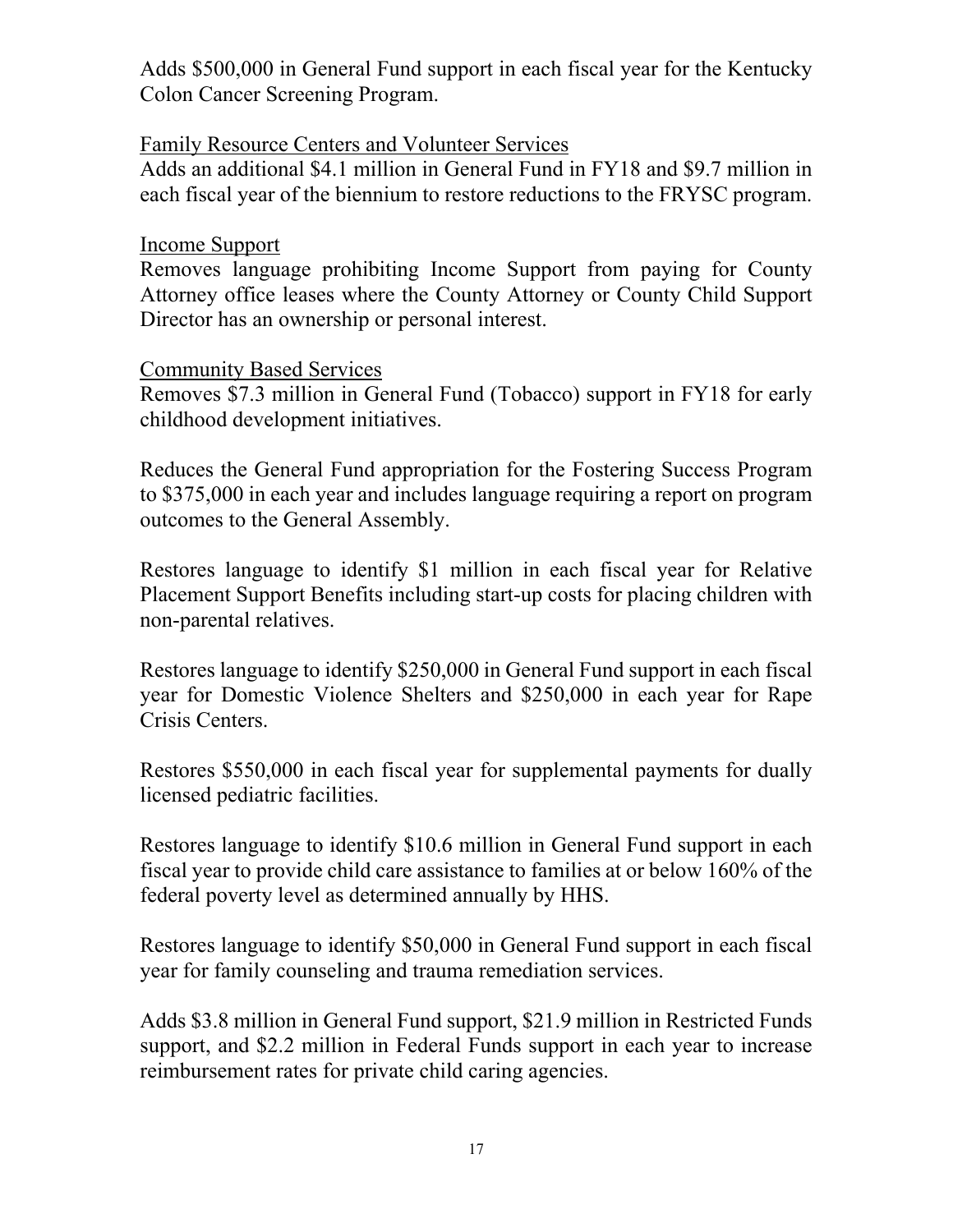Adds \$500,000 in General Fund support in each fiscal year for the Kentucky Colon Cancer Screening Program.

#### Family Resource Centers and Volunteer Services

Adds an additional \$4.1 million in General Fund in FY18 and \$9.7 million in each fiscal year of the biennium to restore reductions to the FRYSC program.

#### Income Support

Removes language prohibiting Income Support from paying for County Attorney office leases where the County Attorney or County Child Support Director has an ownership or personal interest.

#### Community Based Services

Removes \$7.3 million in General Fund (Tobacco) support in FY18 for early childhood development initiatives.

Reduces the General Fund appropriation for the Fostering Success Program to \$375,000 in each year and includes language requiring a report on program outcomes to the General Assembly.

Restores language to identify \$1 million in each fiscal year for Relative Placement Support Benefits including start-up costs for placing children with non-parental relatives.

Restores language to identify \$250,000 in General Fund support in each fiscal year for Domestic Violence Shelters and \$250,000 in each year for Rape Crisis Centers.

Restores \$550,000 in each fiscal year for supplemental payments for dually licensed pediatric facilities.

Restores language to identify \$10.6 million in General Fund support in each fiscal year to provide child care assistance to families at or below 160% of the federal poverty level as determined annually by HHS.

Restores language to identify \$50,000 in General Fund support in each fiscal year for family counseling and trauma remediation services.

Adds \$3.8 million in General Fund support, \$21.9 million in Restricted Funds support, and \$2.2 million in Federal Funds support in each year to increase reimbursement rates for private child caring agencies.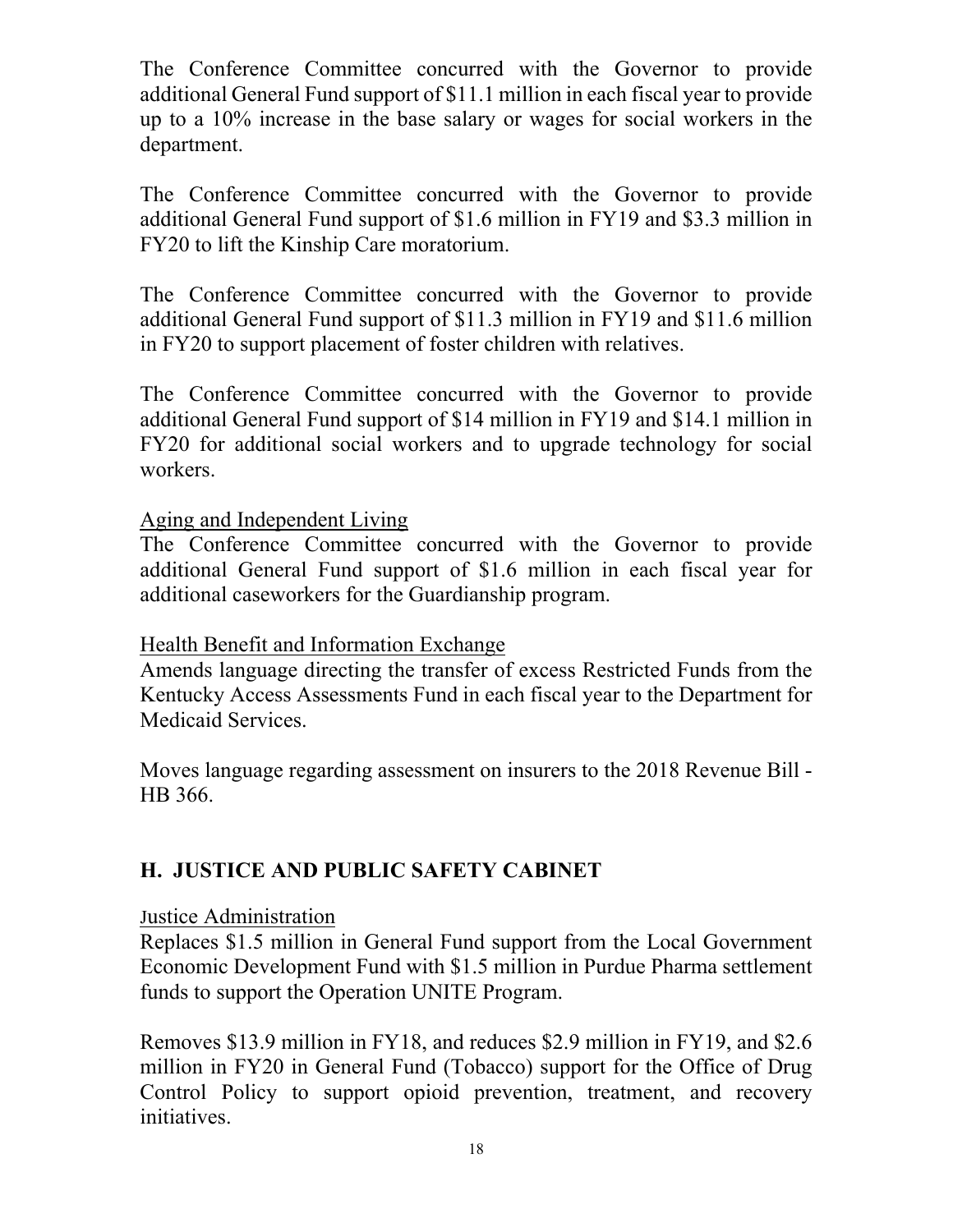The Conference Committee concurred with the Governor to provide additional General Fund support of \$11.1 million in each fiscal year to provide up to a 10% increase in the base salary or wages for social workers in the department.

The Conference Committee concurred with the Governor to provide additional General Fund support of \$1.6 million in FY19 and \$3.3 million in FY20 to lift the Kinship Care moratorium.

The Conference Committee concurred with the Governor to provide additional General Fund support of \$11.3 million in FY19 and \$11.6 million in FY20 to support placement of foster children with relatives.

The Conference Committee concurred with the Governor to provide additional General Fund support of \$14 million in FY19 and \$14.1 million in FY20 for additional social workers and to upgrade technology for social workers.

## Aging and Independent Living

The Conference Committee concurred with the Governor to provide additional General Fund support of \$1.6 million in each fiscal year for additional caseworkers for the Guardianship program.

### Health Benefit and Information Exchange

Amends language directing the transfer of excess Restricted Funds from the Kentucky Access Assessments Fund in each fiscal year to the Department for Medicaid Services.

Moves language regarding assessment on insurers to the 2018 Revenue Bill - HB 366.

# **H. JUSTICE AND PUBLIC SAFETY CABINET**

### Justice Administration

Replaces \$1.5 million in General Fund support from the Local Government Economic Development Fund with \$1.5 million in Purdue Pharma settlement funds to support the Operation UNITE Program.

Removes \$13.9 million in FY18, and reduces \$2.9 million in FY19, and \$2.6 million in FY20 in General Fund (Tobacco) support for the Office of Drug Control Policy to support opioid prevention, treatment, and recovery initiatives.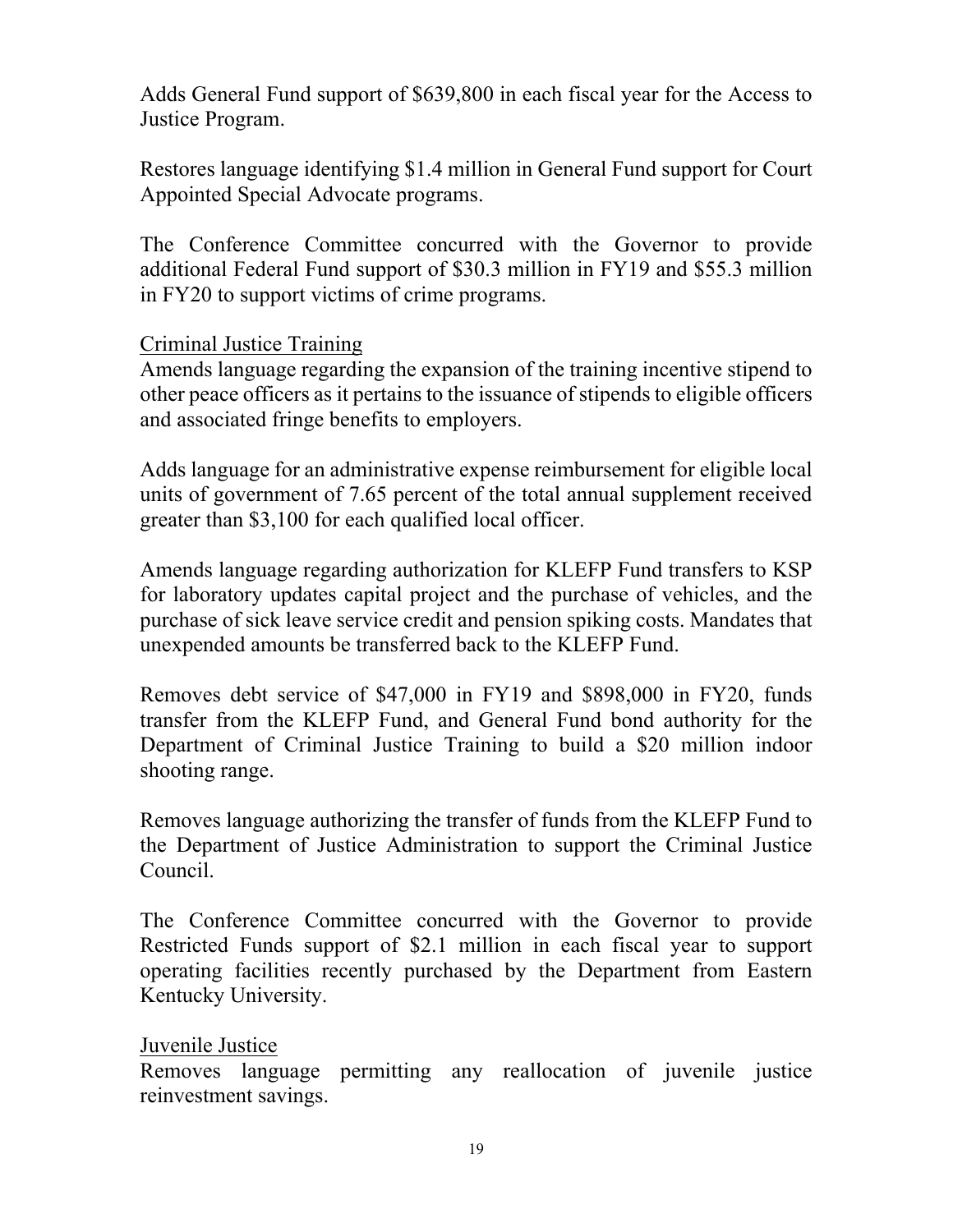Adds General Fund support of \$639,800 in each fiscal year for the Access to Justice Program.

Restores language identifying \$1.4 million in General Fund support for Court Appointed Special Advocate programs.

The Conference Committee concurred with the Governor to provide additional Federal Fund support of \$30.3 million in FY19 and \$55.3 million in FY20 to support victims of crime programs.

## Criminal Justice Training

Amends language regarding the expansion of the training incentive stipend to other peace officers as it pertains to the issuance of stipends to eligible officers and associated fringe benefits to employers.

Adds language for an administrative expense reimbursement for eligible local units of government of 7.65 percent of the total annual supplement received greater than \$3,100 for each qualified local officer.

Amends language regarding authorization for KLEFP Fund transfers to KSP for laboratory updates capital project and the purchase of vehicles, and the purchase of sick leave service credit and pension spiking costs. Mandates that unexpended amounts be transferred back to the KLEFP Fund.

Removes debt service of \$47,000 in FY19 and \$898,000 in FY20, funds transfer from the KLEFP Fund, and General Fund bond authority for the Department of Criminal Justice Training to build a \$20 million indoor shooting range.

Removes language authorizing the transfer of funds from the KLEFP Fund to the Department of Justice Administration to support the Criminal Justice Council.

The Conference Committee concurred with the Governor to provide Restricted Funds support of \$2.1 million in each fiscal year to support operating facilities recently purchased by the Department from Eastern Kentucky University.

## Juvenile Justice

Removes language permitting any reallocation of juvenile justice reinvestment savings.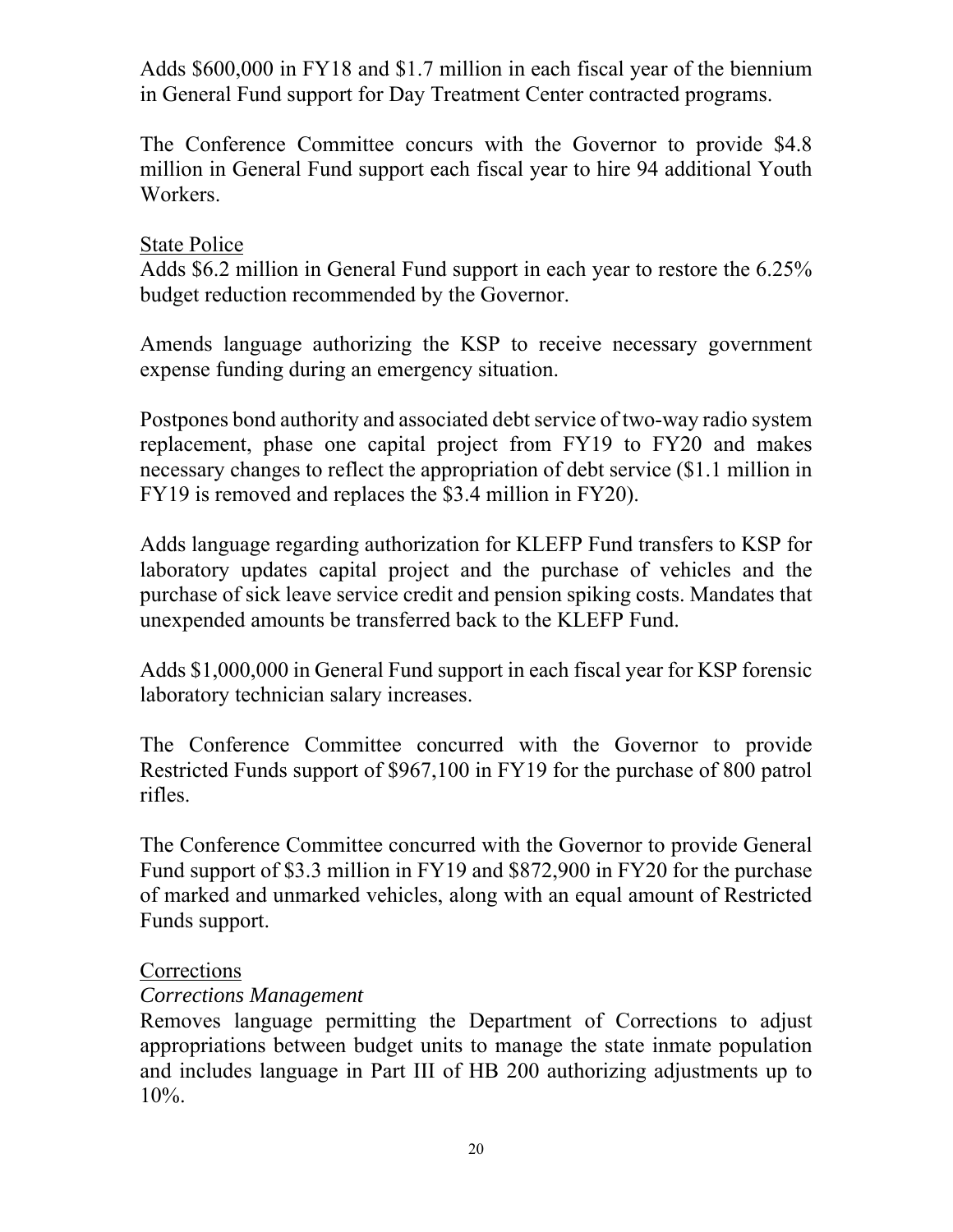Adds \$600,000 in FY18 and \$1.7 million in each fiscal year of the biennium in General Fund support for Day Treatment Center contracted programs.

The Conference Committee concurs with the Governor to provide \$4.8 million in General Fund support each fiscal year to hire 94 additional Youth Workers.

## State Police

Adds \$6.2 million in General Fund support in each year to restore the 6.25% budget reduction recommended by the Governor.

Amends language authorizing the KSP to receive necessary government expense funding during an emergency situation.

Postpones bond authority and associated debt service of two-way radio system replacement, phase one capital project from FY19 to FY20 and makes necessary changes to reflect the appropriation of debt service (\$1.1 million in FY19 is removed and replaces the \$3.4 million in FY20).

Adds language regarding authorization for KLEFP Fund transfers to KSP for laboratory updates capital project and the purchase of vehicles and the purchase of sick leave service credit and pension spiking costs. Mandates that unexpended amounts be transferred back to the KLEFP Fund.

Adds \$1,000,000 in General Fund support in each fiscal year for KSP forensic laboratory technician salary increases.

The Conference Committee concurred with the Governor to provide Restricted Funds support of \$967,100 in FY19 for the purchase of 800 patrol rifles.

The Conference Committee concurred with the Governor to provide General Fund support of \$3.3 million in FY19 and \$872,900 in FY20 for the purchase of marked and unmarked vehicles, along with an equal amount of Restricted Funds support.

## Corrections

### *Corrections Management*

Removes language permitting the Department of Corrections to adjust appropriations between budget units to manage the state inmate population and includes language in Part III of HB 200 authorizing adjustments up to 10%.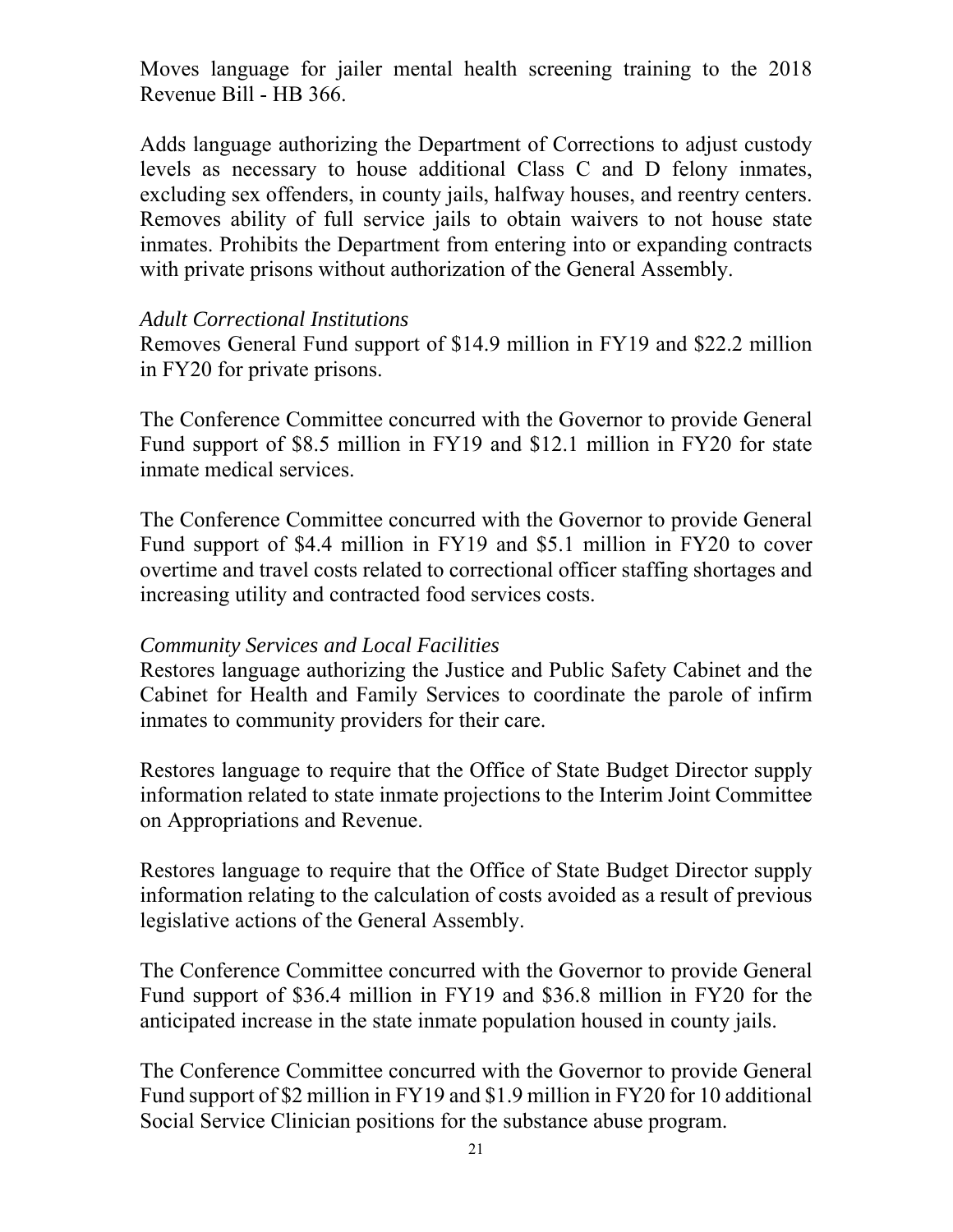Moves language for jailer mental health screening training to the 2018 Revenue Bill - HB 366.

Adds language authorizing the Department of Corrections to adjust custody levels as necessary to house additional Class C and D felony inmates, excluding sex offenders, in county jails, halfway houses, and reentry centers. Removes ability of full service jails to obtain waivers to not house state inmates. Prohibits the Department from entering into or expanding contracts with private prisons without authorization of the General Assembly.

#### *Adult Correctional Institutions*

Removes General Fund support of \$14.9 million in FY19 and \$22.2 million in FY20 for private prisons.

The Conference Committee concurred with the Governor to provide General Fund support of \$8.5 million in FY19 and \$12.1 million in FY20 for state inmate medical services.

The Conference Committee concurred with the Governor to provide General Fund support of \$4.4 million in FY19 and \$5.1 million in FY20 to cover overtime and travel costs related to correctional officer staffing shortages and increasing utility and contracted food services costs.

### *Community Services and Local Facilities*

Restores language authorizing the Justice and Public Safety Cabinet and the Cabinet for Health and Family Services to coordinate the parole of infirm inmates to community providers for their care.

Restores language to require that the Office of State Budget Director supply information related to state inmate projections to the Interim Joint Committee on Appropriations and Revenue.

Restores language to require that the Office of State Budget Director supply information relating to the calculation of costs avoided as a result of previous legislative actions of the General Assembly.

The Conference Committee concurred with the Governor to provide General Fund support of \$36.4 million in FY19 and \$36.8 million in FY20 for the anticipated increase in the state inmate population housed in county jails.

The Conference Committee concurred with the Governor to provide General Fund support of \$2 million in FY19 and \$1.9 million in FY20 for 10 additional Social Service Clinician positions for the substance abuse program.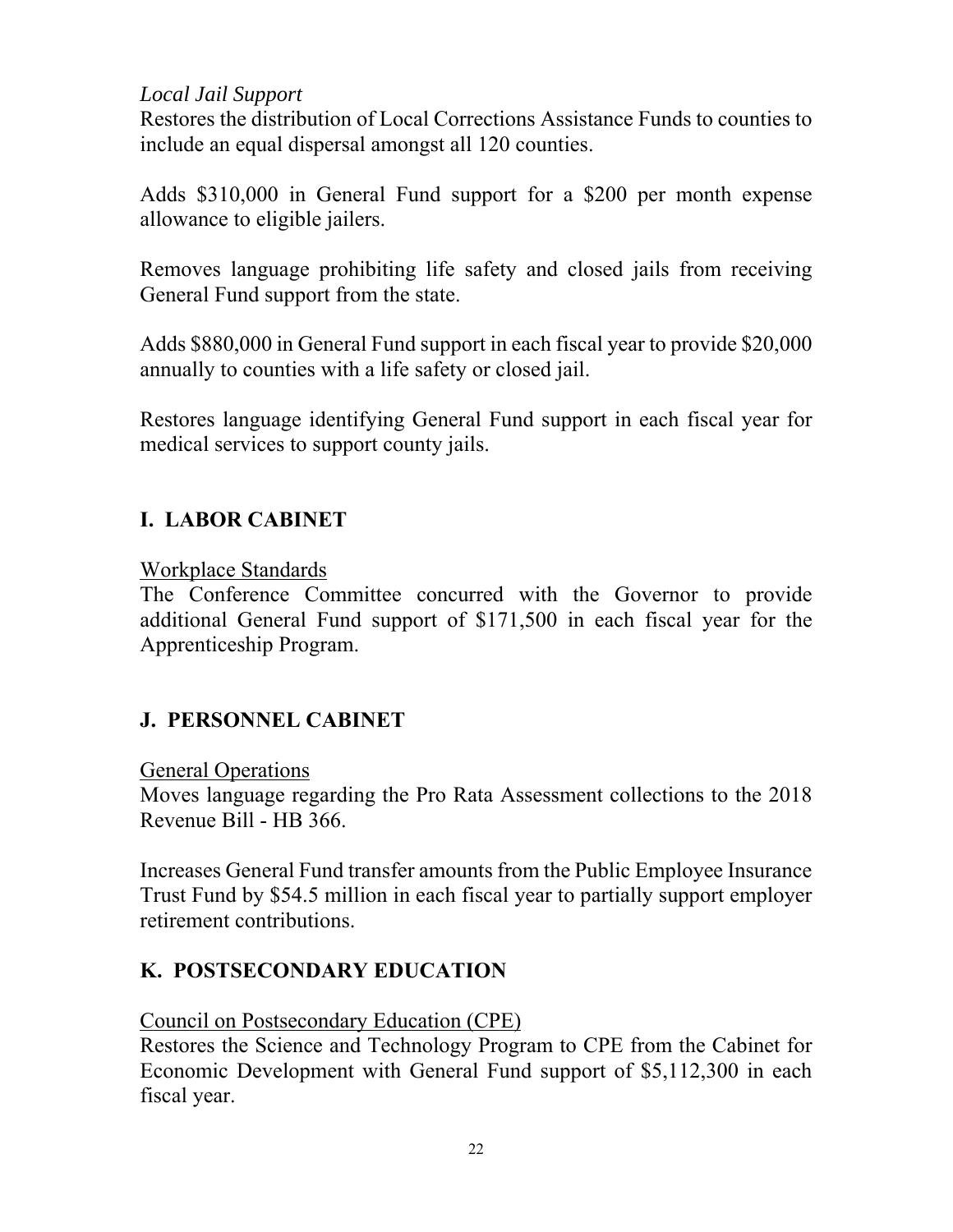## *Local Jail Support*

Restores the distribution of Local Corrections Assistance Funds to counties to include an equal dispersal amongst all 120 counties.

Adds \$310,000 in General Fund support for a \$200 per month expense allowance to eligible jailers.

Removes language prohibiting life safety and closed jails from receiving General Fund support from the state.

Adds \$880,000 in General Fund support in each fiscal year to provide \$20,000 annually to counties with a life safety or closed jail.

Restores language identifying General Fund support in each fiscal year for medical services to support county jails.

# **I. LABOR CABINET**

## Workplace Standards

The Conference Committee concurred with the Governor to provide additional General Fund support of \$171,500 in each fiscal year for the Apprenticeship Program.

# **J. PERSONNEL CABINET**

### General Operations

Moves language regarding the Pro Rata Assessment collections to the 2018 Revenue Bill - HB 366.

Increases General Fund transfer amounts from the Public Employee Insurance Trust Fund by \$54.5 million in each fiscal year to partially support employer retirement contributions.

# **K. POSTSECONDARY EDUCATION**

## Council on Postsecondary Education (CPE)

Restores the Science and Technology Program to CPE from the Cabinet for Economic Development with General Fund support of \$5,112,300 in each fiscal year.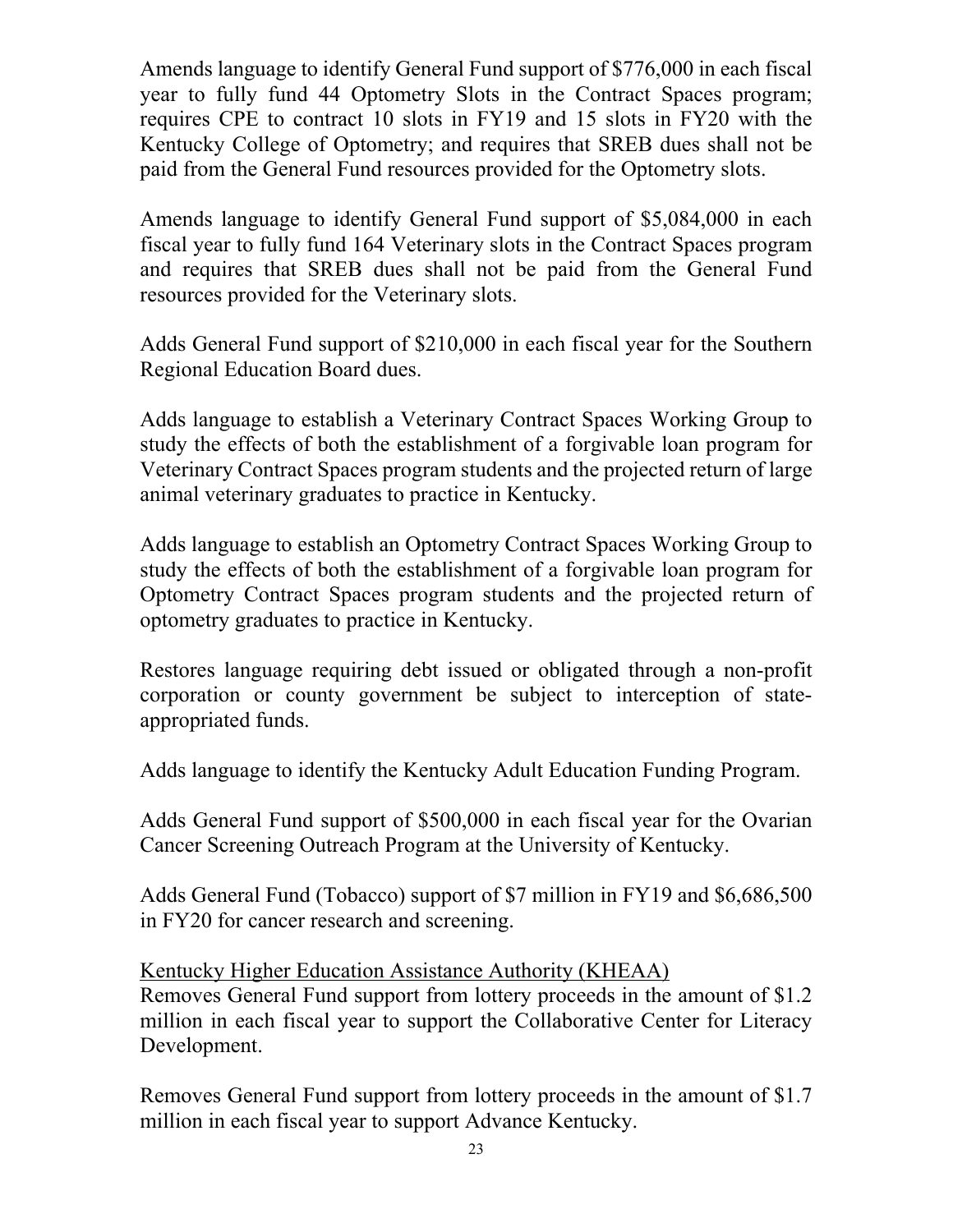Amends language to identify General Fund support of \$776,000 in each fiscal year to fully fund 44 Optometry Slots in the Contract Spaces program; requires CPE to contract 10 slots in FY19 and 15 slots in FY20 with the Kentucky College of Optometry; and requires that SREB dues shall not be paid from the General Fund resources provided for the Optometry slots.

Amends language to identify General Fund support of \$5,084,000 in each fiscal year to fully fund 164 Veterinary slots in the Contract Spaces program and requires that SREB dues shall not be paid from the General Fund resources provided for the Veterinary slots.

Adds General Fund support of \$210,000 in each fiscal year for the Southern Regional Education Board dues.

Adds language to establish a Veterinary Contract Spaces Working Group to study the effects of both the establishment of a forgivable loan program for Veterinary Contract Spaces program students and the projected return of large animal veterinary graduates to practice in Kentucky.

Adds language to establish an Optometry Contract Spaces Working Group to study the effects of both the establishment of a forgivable loan program for Optometry Contract Spaces program students and the projected return of optometry graduates to practice in Kentucky.

Restores language requiring debt issued or obligated through a non-profit corporation or county government be subject to interception of stateappropriated funds.

Adds language to identify the Kentucky Adult Education Funding Program.

Adds General Fund support of \$500,000 in each fiscal year for the Ovarian Cancer Screening Outreach Program at the University of Kentucky.

Adds General Fund (Tobacco) support of \$7 million in FY19 and \$6,686,500 in FY20 for cancer research and screening.

Kentucky Higher Education Assistance Authority (KHEAA) Removes General Fund support from lottery proceeds in the amount of \$1.2 million in each fiscal year to support the Collaborative Center for Literacy Development.

Removes General Fund support from lottery proceeds in the amount of \$1.7 million in each fiscal year to support Advance Kentucky.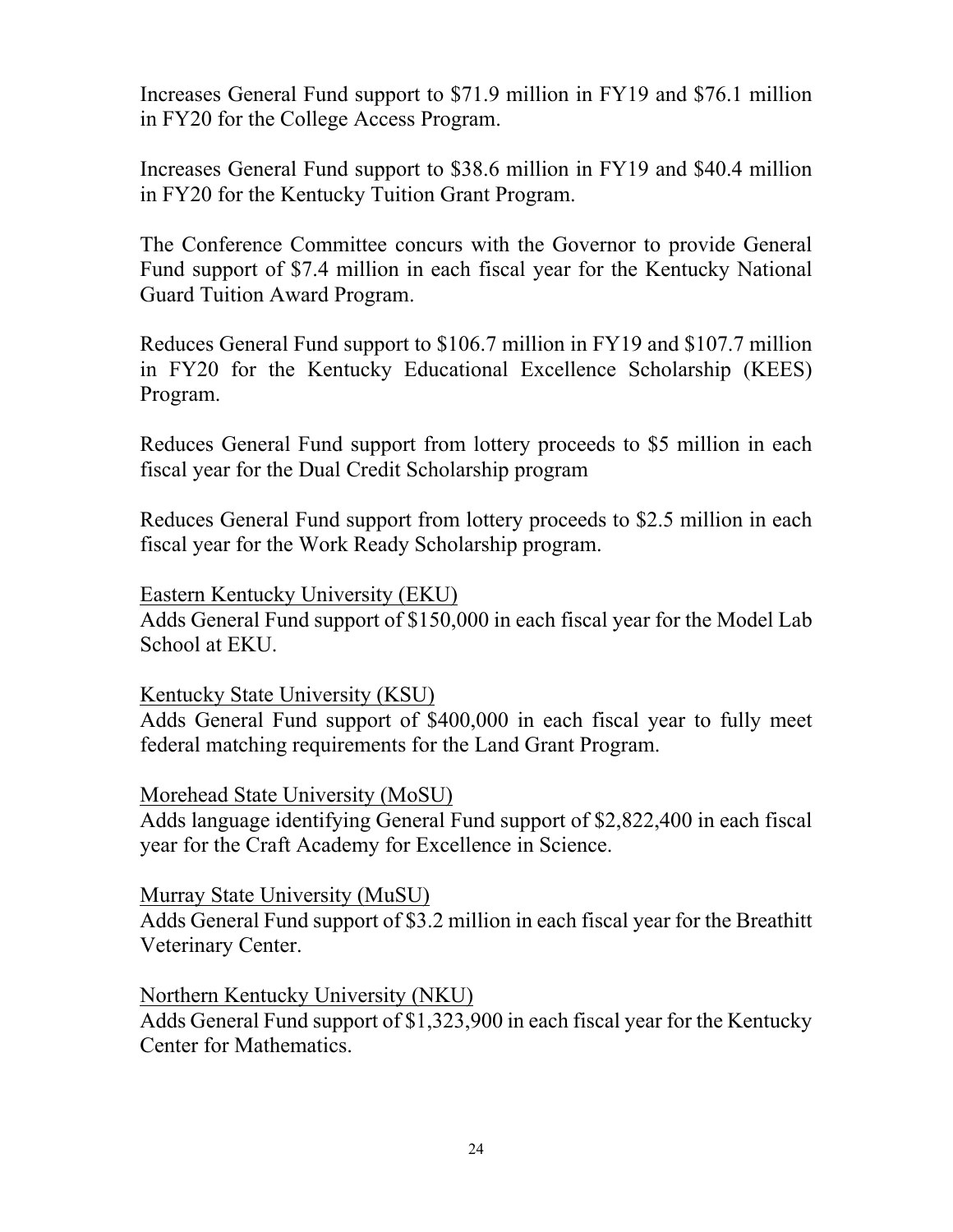Increases General Fund support to \$71.9 million in FY19 and \$76.1 million in FY20 for the College Access Program.

Increases General Fund support to \$38.6 million in FY19 and \$40.4 million in FY20 for the Kentucky Tuition Grant Program.

The Conference Committee concurs with the Governor to provide General Fund support of \$7.4 million in each fiscal year for the Kentucky National Guard Tuition Award Program.

Reduces General Fund support to \$106.7 million in FY19 and \$107.7 million in FY20 for the Kentucky Educational Excellence Scholarship (KEES) Program.

Reduces General Fund support from lottery proceeds to \$5 million in each fiscal year for the Dual Credit Scholarship program

Reduces General Fund support from lottery proceeds to \$2.5 million in each fiscal year for the Work Ready Scholarship program.

Eastern Kentucky University (EKU) Adds General Fund support of \$150,000 in each fiscal year for the Model Lab School at EKU.

Kentucky State University (KSU)

Adds General Fund support of \$400,000 in each fiscal year to fully meet federal matching requirements for the Land Grant Program.

Morehead State University (MoSU)

Adds language identifying General Fund support of \$2,822,400 in each fiscal year for the Craft Academy for Excellence in Science.

Murray State University (MuSU)

Adds General Fund support of \$3.2 million in each fiscal year for the Breathitt Veterinary Center.

Northern Kentucky University (NKU)

Adds General Fund support of \$1,323,900 in each fiscal year for the Kentucky Center for Mathematics.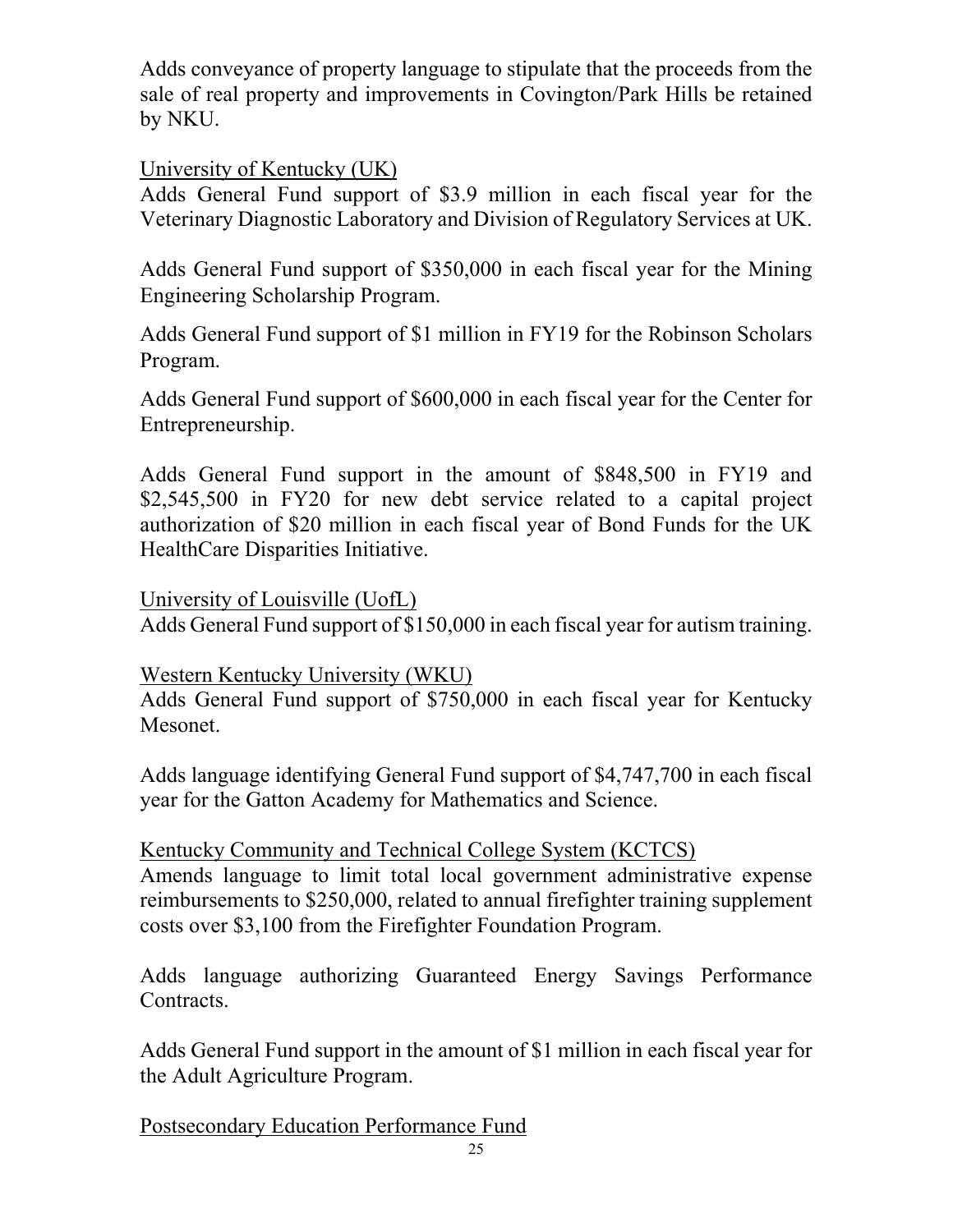Adds conveyance of property language to stipulate that the proceeds from the sale of real property and improvements in Covington/Park Hills be retained by NKU.

## University of Kentucky (UK)

Adds General Fund support of \$3.9 million in each fiscal year for the Veterinary Diagnostic Laboratory and Division of Regulatory Services at UK.

Adds General Fund support of \$350,000 in each fiscal year for the Mining Engineering Scholarship Program.

Adds General Fund support of \$1 million in FY19 for the Robinson Scholars Program.

Adds General Fund support of \$600,000 in each fiscal year for the Center for Entrepreneurship.

Adds General Fund support in the amount of \$848,500 in FY19 and \$2,545,500 in FY20 for new debt service related to a capital project authorization of \$20 million in each fiscal year of Bond Funds for the UK HealthCare Disparities Initiative.

University of Louisville (UofL)

Adds General Fund support of \$150,000 in each fiscal year for autism training.

Western Kentucky University (WKU)

Adds General Fund support of \$750,000 in each fiscal year for Kentucky Mesonet.

Adds language identifying General Fund support of \$4,747,700 in each fiscal year for the Gatton Academy for Mathematics and Science.

### Kentucky Community and Technical College System (KCTCS)

Amends language to limit total local government administrative expense reimbursements to \$250,000, related to annual firefighter training supplement costs over \$3,100 from the Firefighter Foundation Program.

Adds language authorizing Guaranteed Energy Savings Performance Contracts.

Adds General Fund support in the amount of \$1 million in each fiscal year for the Adult Agriculture Program.

Postsecondary Education Performance Fund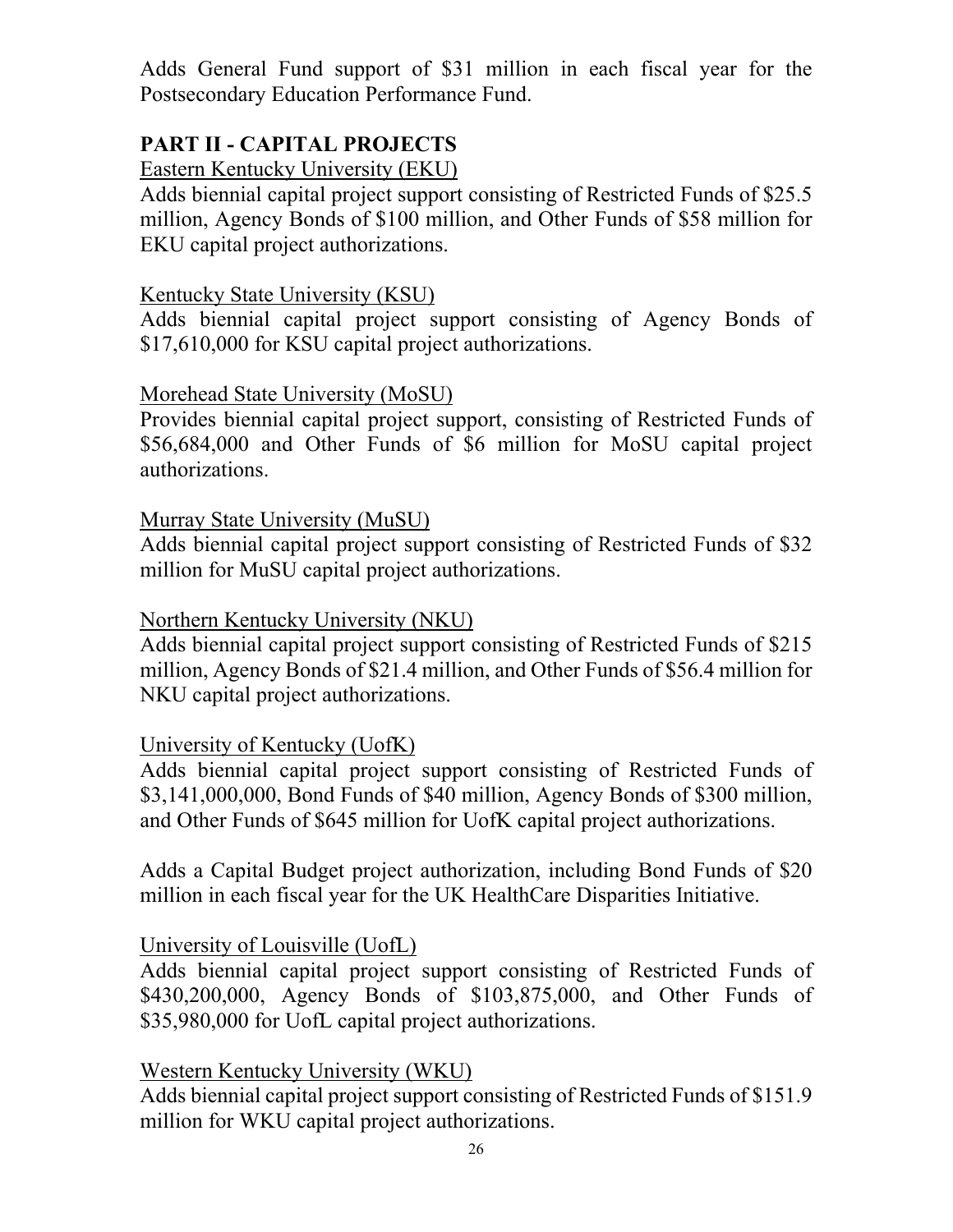Adds General Fund support of \$31 million in each fiscal year for the Postsecondary Education Performance Fund.

# **PART II - CAPITAL PROJECTS**

Eastern Kentucky University (EKU)

Adds biennial capital project support consisting of Restricted Funds of \$25.5 million, Agency Bonds of \$100 million, and Other Funds of \$58 million for EKU capital project authorizations.

#### Kentucky State University (KSU)

Adds biennial capital project support consisting of Agency Bonds of \$17,610,000 for KSU capital project authorizations.

#### Morehead State University (MoSU)

Provides biennial capital project support, consisting of Restricted Funds of \$56,684,000 and Other Funds of \$6 million for MoSU capital project authorizations.

#### Murray State University (MuSU)

Adds biennial capital project support consisting of Restricted Funds of \$32 million for MuSU capital project authorizations.

#### Northern Kentucky University (NKU)

Adds biennial capital project support consisting of Restricted Funds of \$215 million, Agency Bonds of \$21.4 million, and Other Funds of \$56.4 million for NKU capital project authorizations.

### University of Kentucky (UofK)

Adds biennial capital project support consisting of Restricted Funds of \$3,141,000,000, Bond Funds of \$40 million, Agency Bonds of \$300 million, and Other Funds of \$645 million for UofK capital project authorizations.

Adds a Capital Budget project authorization, including Bond Funds of \$20 million in each fiscal year for the UK HealthCare Disparities Initiative.

### University of Louisville (UofL)

Adds biennial capital project support consisting of Restricted Funds of \$430,200,000, Agency Bonds of \$103,875,000, and Other Funds of \$35,980,000 for UofL capital project authorizations.

### Western Kentucky University (WKU)

Adds biennial capital project support consisting of Restricted Funds of \$151.9 million for WKU capital project authorizations.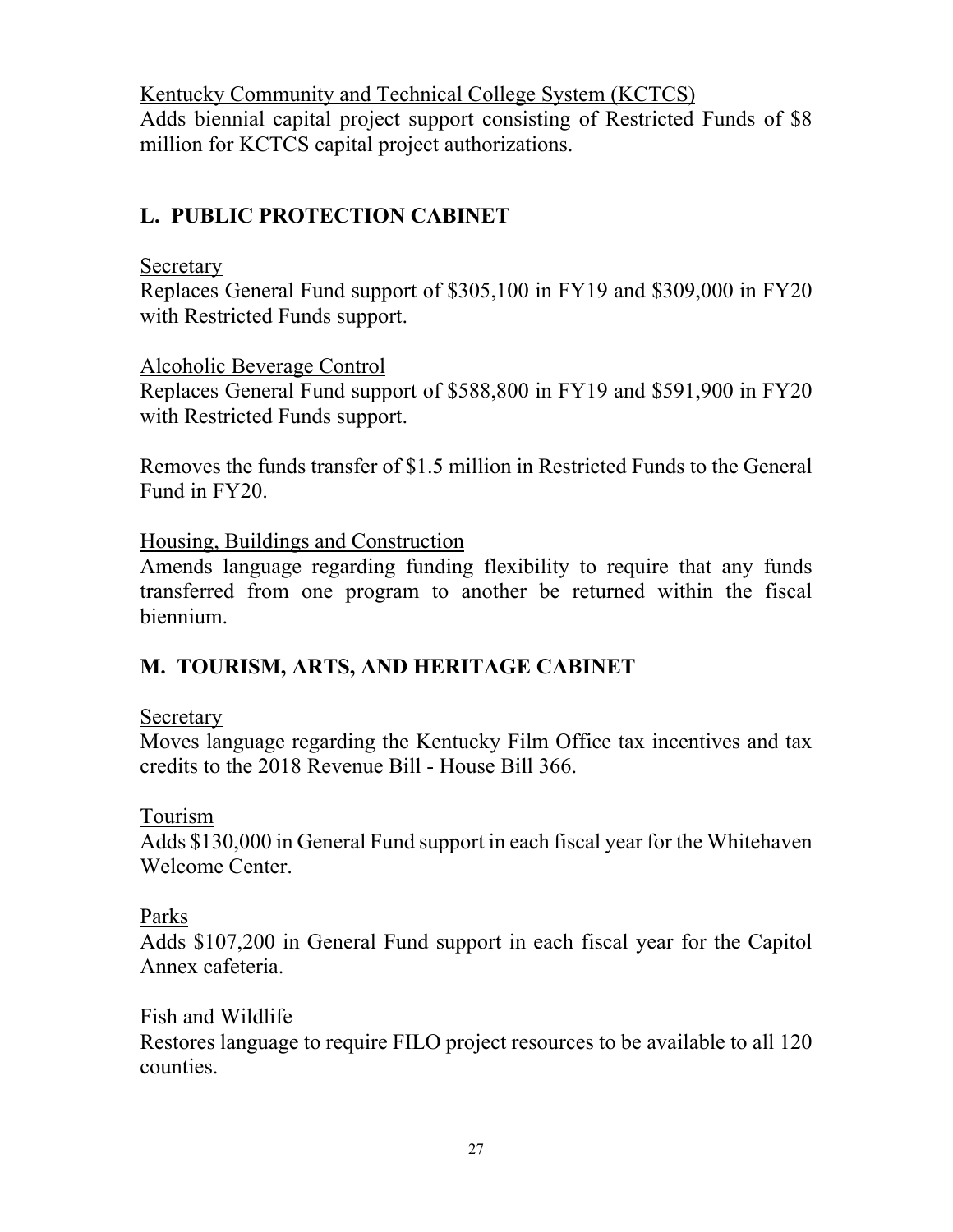Kentucky Community and Technical College System (KCTCS) Adds biennial capital project support consisting of Restricted Funds of \$8 million for KCTCS capital project authorizations.

# **L. PUBLIC PROTECTION CABINET**

## Secretary

Replaces General Fund support of \$305,100 in FY19 and \$309,000 in FY20 with Restricted Funds support.

## Alcoholic Beverage Control

Replaces General Fund support of \$588,800 in FY19 and \$591,900 in FY20 with Restricted Funds support.

Removes the funds transfer of \$1.5 million in Restricted Funds to the General Fund in FY20.

Housing, Buildings and Construction

Amends language regarding funding flexibility to require that any funds transferred from one program to another be returned within the fiscal biennium.

# **M. TOURISM, ARTS, AND HERITAGE CABINET**

## Secretary

Moves language regarding the Kentucky Film Office tax incentives and tax credits to the 2018 Revenue Bill - House Bill 366.

## Tourism

Adds \$130,000 in General Fund support in each fiscal year for the Whitehaven Welcome Center.

## Parks

Adds \$107,200 in General Fund support in each fiscal year for the Capitol Annex cafeteria.

## Fish and Wildlife

Restores language to require FILO project resources to be available to all 120 counties.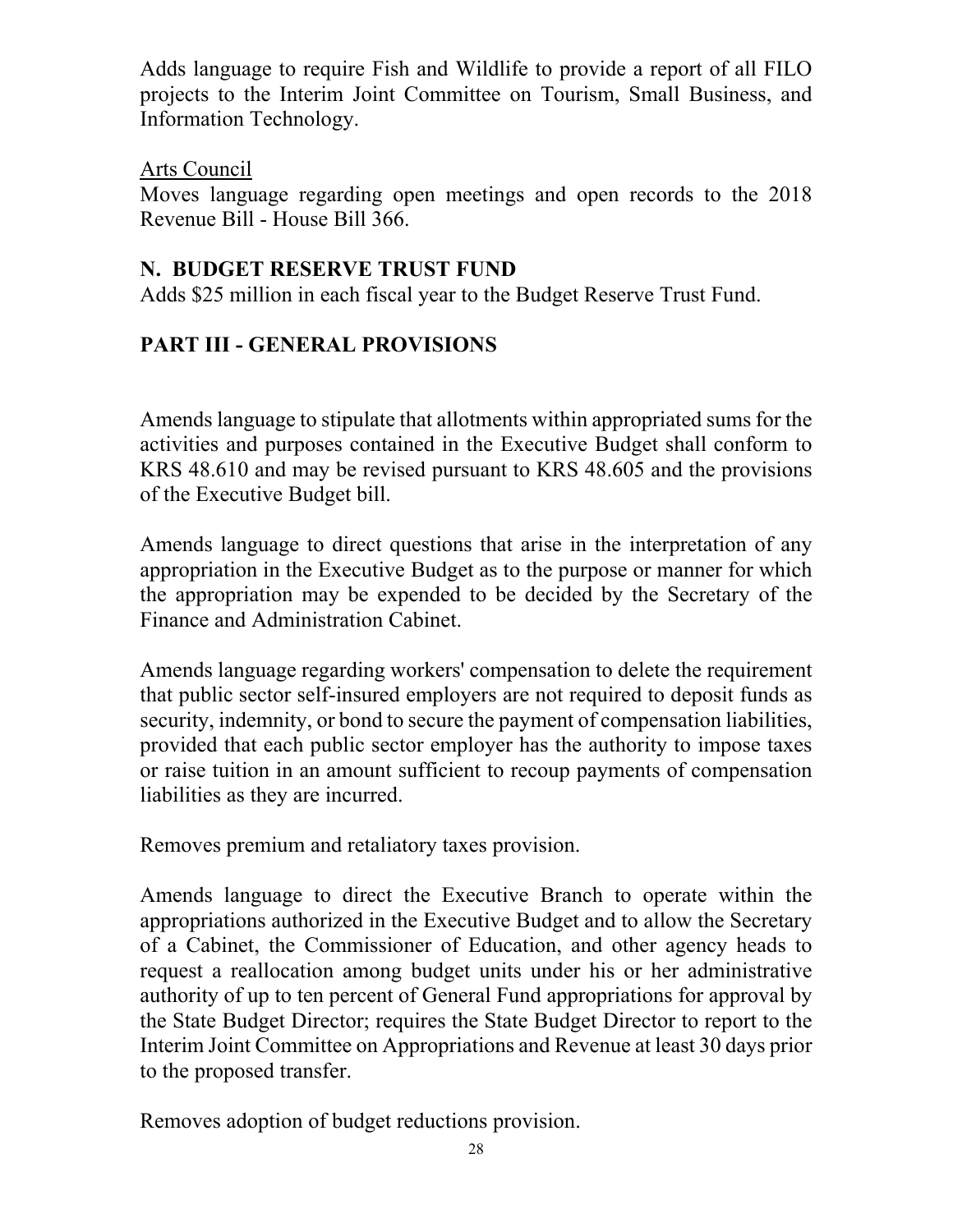Adds language to require Fish and Wildlife to provide a report of all FILO projects to the Interim Joint Committee on Tourism, Small Business, and Information Technology.

## Arts Council

Moves language regarding open meetings and open records to the 2018 Revenue Bill - House Bill 366.

## **N. BUDGET RESERVE TRUST FUND**

Adds \$25 million in each fiscal year to the Budget Reserve Trust Fund.

# **PART III - GENERAL PROVISIONS**

Amends language to stipulate that allotments within appropriated sums for the activities and purposes contained in the Executive Budget shall conform to KRS 48.610 and may be revised pursuant to KRS 48.605 and the provisions of the Executive Budget bill.

Amends language to direct questions that arise in the interpretation of any appropriation in the Executive Budget as to the purpose or manner for which the appropriation may be expended to be decided by the Secretary of the Finance and Administration Cabinet.

Amends language regarding workers' compensation to delete the requirement that public sector self-insured employers are not required to deposit funds as security, indemnity, or bond to secure the payment of compensation liabilities, provided that each public sector employer has the authority to impose taxes or raise tuition in an amount sufficient to recoup payments of compensation liabilities as they are incurred.

Removes premium and retaliatory taxes provision.

Amends language to direct the Executive Branch to operate within the appropriations authorized in the Executive Budget and to allow the Secretary of a Cabinet, the Commissioner of Education, and other agency heads to request a reallocation among budget units under his or her administrative authority of up to ten percent of General Fund appropriations for approval by the State Budget Director; requires the State Budget Director to report to the Interim Joint Committee on Appropriations and Revenue at least 30 days prior to the proposed transfer.

Removes adoption of budget reductions provision.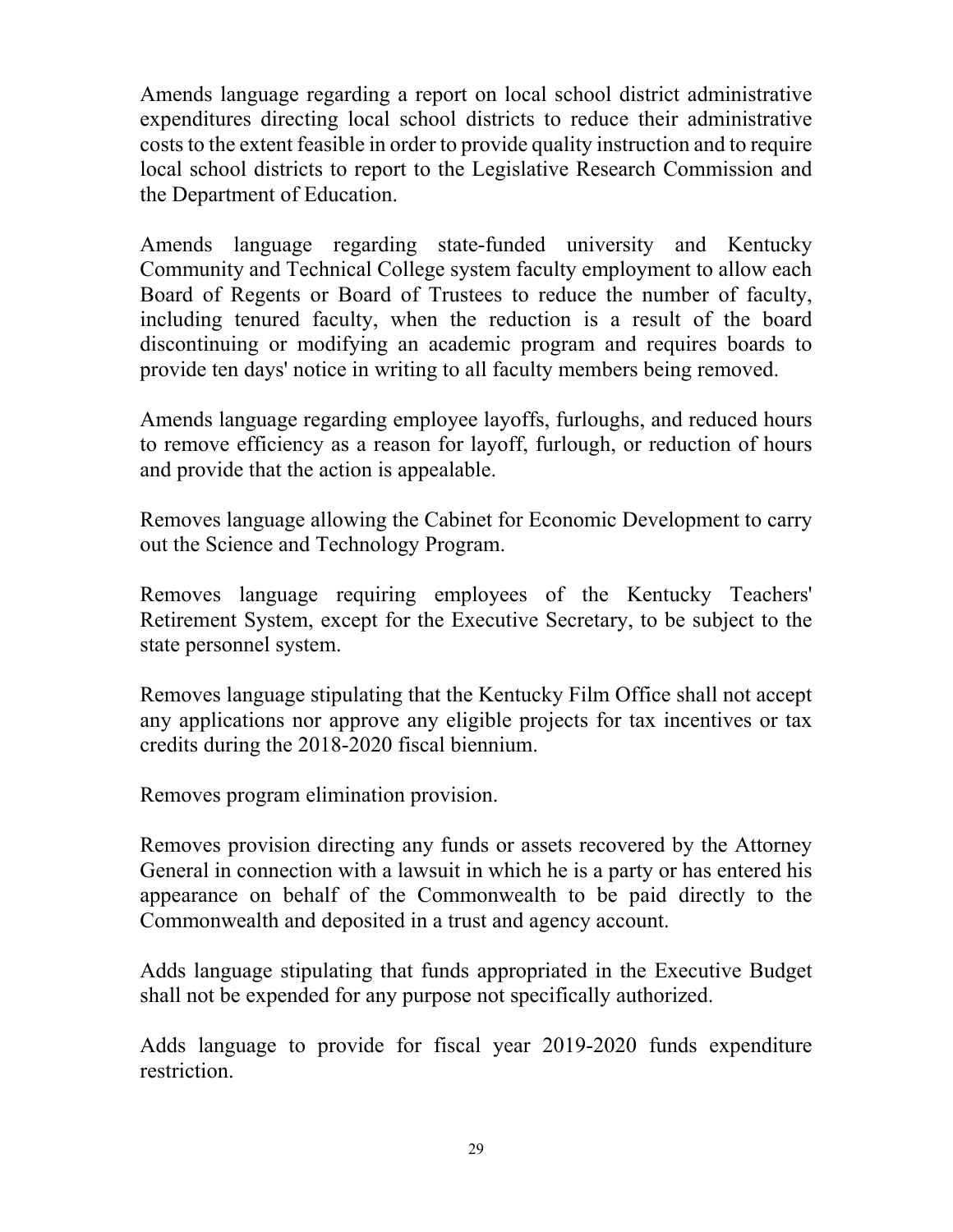Amends language regarding a report on local school district administrative expenditures directing local school districts to reduce their administrative costs to the extent feasible in order to provide quality instruction and to require local school districts to report to the Legislative Research Commission and the Department of Education.

Amends language regarding state-funded university and Kentucky Community and Technical College system faculty employment to allow each Board of Regents or Board of Trustees to reduce the number of faculty, including tenured faculty, when the reduction is a result of the board discontinuing or modifying an academic program and requires boards to provide ten days' notice in writing to all faculty members being removed.

Amends language regarding employee layoffs, furloughs, and reduced hours to remove efficiency as a reason for layoff, furlough, or reduction of hours and provide that the action is appealable.

Removes language allowing the Cabinet for Economic Development to carry out the Science and Technology Program.

Removes language requiring employees of the Kentucky Teachers' Retirement System, except for the Executive Secretary, to be subject to the state personnel system.

Removes language stipulating that the Kentucky Film Office shall not accept any applications nor approve any eligible projects for tax incentives or tax credits during the 2018-2020 fiscal biennium.

Removes program elimination provision.

Removes provision directing any funds or assets recovered by the Attorney General in connection with a lawsuit in which he is a party or has entered his appearance on behalf of the Commonwealth to be paid directly to the Commonwealth and deposited in a trust and agency account.

Adds language stipulating that funds appropriated in the Executive Budget shall not be expended for any purpose not specifically authorized.

Adds language to provide for fiscal year 2019-2020 funds expenditure restriction.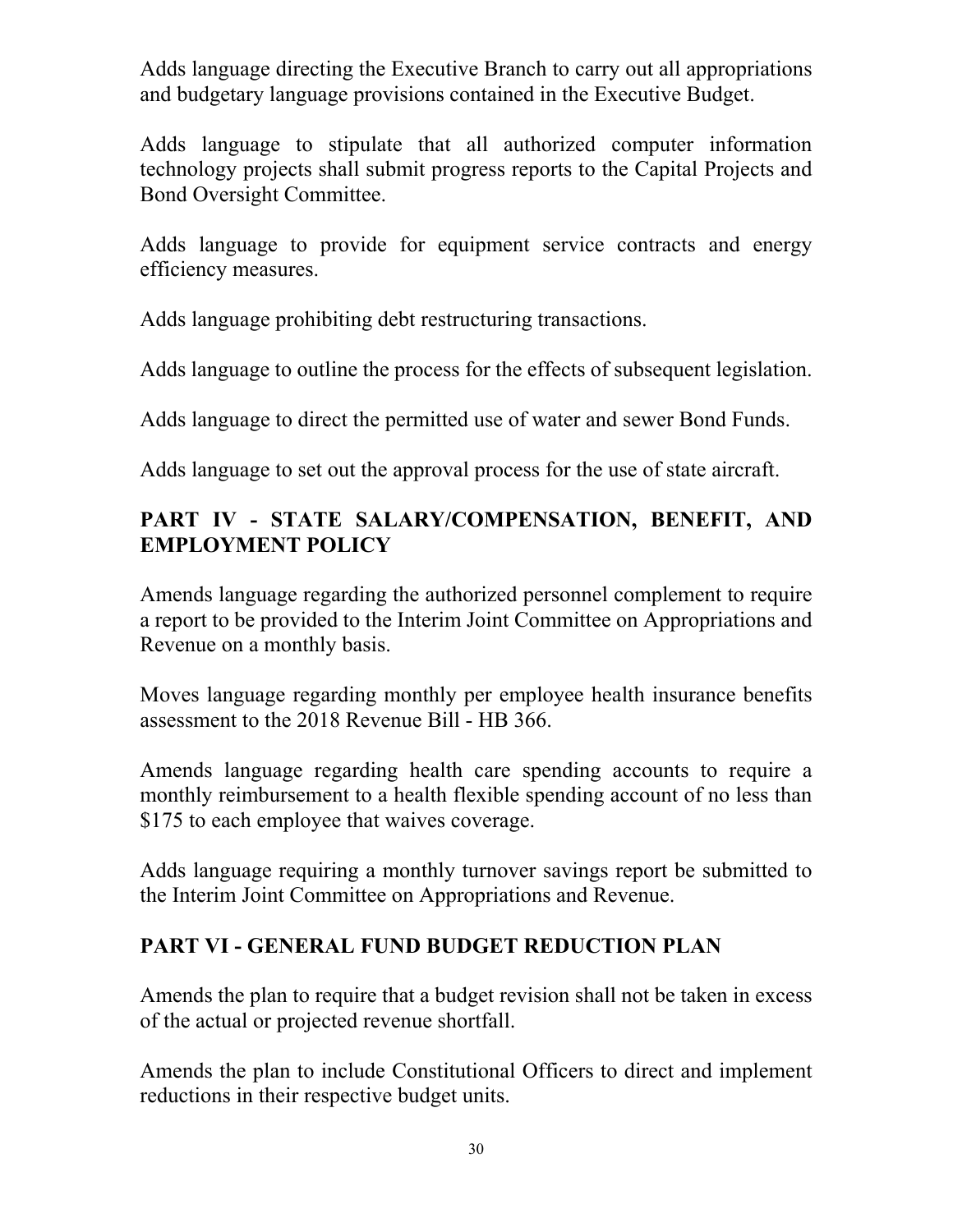Adds language directing the Executive Branch to carry out all appropriations and budgetary language provisions contained in the Executive Budget.

Adds language to stipulate that all authorized computer information technology projects shall submit progress reports to the Capital Projects and Bond Oversight Committee.

Adds language to provide for equipment service contracts and energy efficiency measures.

Adds language prohibiting debt restructuring transactions.

Adds language to outline the process for the effects of subsequent legislation.

Adds language to direct the permitted use of water and sewer Bond Funds.

Adds language to set out the approval process for the use of state aircraft.

# **PART IV - STATE SALARY/COMPENSATION, BENEFIT, AND EMPLOYMENT POLICY**

Amends language regarding the authorized personnel complement to require a report to be provided to the Interim Joint Committee on Appropriations and Revenue on a monthly basis.

Moves language regarding monthly per employee health insurance benefits assessment to the 2018 Revenue Bill - HB 366.

Amends language regarding health care spending accounts to require a monthly reimbursement to a health flexible spending account of no less than \$175 to each employee that waives coverage.

Adds language requiring a monthly turnover savings report be submitted to the Interim Joint Committee on Appropriations and Revenue.

# **PART VI - GENERAL FUND BUDGET REDUCTION PLAN**

Amends the plan to require that a budget revision shall not be taken in excess of the actual or projected revenue shortfall.

Amends the plan to include Constitutional Officers to direct and implement reductions in their respective budget units.